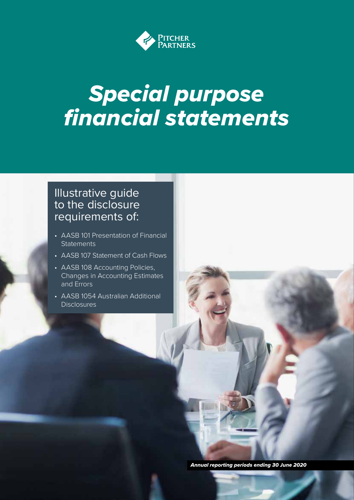

# *Special purpose financial statements*

### Illustrative guide to the disclosure requirements of:

- AASB 101 Presentation of Financial **Statements**
- AASB 107 Statement of Cash Flows
- AASB 108 Accounting Policies, Changes in Accounting Estimates and Errors
- AASB 1054 Australian Additional **Disclosures**

*Annual reporting periods ending 30 June 2020*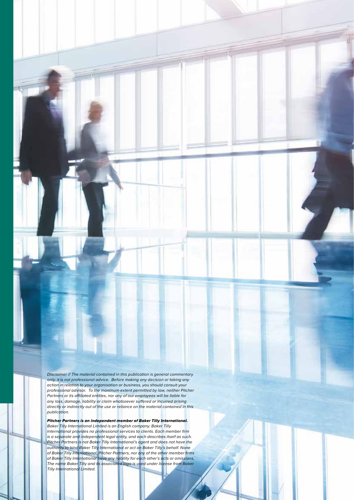*Disclaimer // The material contained in this publication is general commentary only, it is not professional advice. Before making any decision or taking any action in relation to your organisation or business, you should consult your professional advisor. To the maximum extent permitted by law, neither Pitcher Partners or its affiliated entities, nor any of our employees will be liable for any loss, damage, liability or claim whatsoever suffered or incurred arising directly or indirectly out of the use or reliance on the material contained in this publication.* 

*Pitcher Partners is an independent member of Baker Tilly International. Baker Tilly International Limited is an English company. Baker Tilly International provides no professional services to clients. Each member firm is a separate and independent legal entity, and each describes itself as such. Pitcher Partners is not Baker Tilly International's agent and does not have the authority to bind Baker Tilly International or act on Baker Tilly's behalf. None of Baker Tilly International, Pitcher Partners, nor any of the other member firms of Baker Tilly International have any liability for each other's acts or omissions. The name Baker Tilly and its associated logo is used under license from Baker Tilly International Limited.*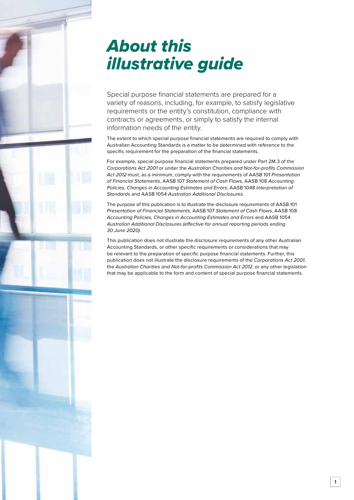## *About this illustrative guide*

Special purpose financial statements are prepared for a variety of reasons, including, for example, to satisfy legislative requirements or the entity's constitution, compliance with contracts or agreements, or simply to satisfy the internal information needs of the entity.

The extent to which special purpose financial statements are required to comply with Australian Accounting Standards is a matter to be determined with reference to the specific requirement for the preparation of the financial statements.

For example, special purpose financial statements prepared under Part 2M.3 of the *Corporations Act 2001* or under the *Australian Charities and Not-for-profits Commission Act 2012* must, as a minimum, comply with the requirements of AASB 101 *Presentation of Financial Statements*, AASB 107 *Statement of Cash Flows*, AASB 108 *Accounting Policies, Changes in Accounting Estimates and Errors*, AASB 1048 *Interpretation of Standards* and AASB 1054 *Australian Additional Disclosures*.

The purpose of this publication is to illustrate the disclosure requirements of AASB 101 *Presentation of Financial Statements*, AASB 107 *Statement of Cash Flows*, AASB 108 *Accounting Policies, Changes in Accounting Estimates and Errors* and AASB 1054 *Australian Additional Disclosures (effective for annual reporting periods ending 30 June 2020)*.

This publication does not illustrate the disclosure requirements of any other Australian Accounting Standards, or other specific requirements or considerations that may be relevant to the preparation of specific purpose financial statements. Further, this publication does not illustrate the disclosure requirements of the *Corporations Act 2001*, the *Australian Charities and Not-for-profits Commission Act 2012*, or any other legislation that may be applicable to the form and content of special purpose financial statements.

1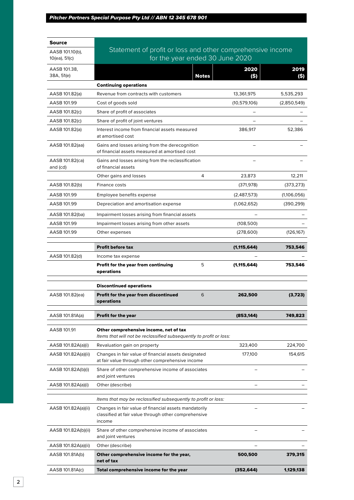| Source                      |                                                                                                                             |                |             |
|-----------------------------|-----------------------------------------------------------------------------------------------------------------------------|----------------|-------------|
| AASB 101.10(b),             | Statement of profit or loss and other comprehensive income                                                                  |                |             |
| 10(ea), 51(c)               | for the year ended 30 June 2020                                                                                             |                |             |
| AASB 101.38,                |                                                                                                                             | 2020           | 2019        |
| 38A, 51(e)                  | <b>Notes</b>                                                                                                                | (S)            | (S)         |
|                             | <b>Continuing operations</b>                                                                                                |                |             |
| AASB 101.82(a)              | Revenue from contracts with customers                                                                                       | 13,361,975     | 5,535,293   |
| AASB 101.99                 | Cost of goods sold                                                                                                          | (10, 579, 106) | (2,850,549) |
| AASB 101.82(c)              | Share of profit of associates                                                                                               |                |             |
| AASB 101.82(c)              | Share of profit of joint ventures<br>Interest income from financial assets measured                                         |                |             |
| AASB 101.82(a)              | at amortised cost                                                                                                           | 386,917        | 52,386      |
| AASB 101.82(aa)             | Gains and losses arising from the derecognition<br>of financial assets measured at amortised cost                           |                |             |
| AASB 101.82(ca)<br>and (cd) | Gains and losses arising from the reclassification<br>of financial assets                                                   |                |             |
|                             | 4<br>Other gains and losses                                                                                                 | 23,873         | 12,211      |
| AASB 101.82(b)              | Finance costs                                                                                                               | (371, 978)     | (373, 273)  |
| AASB 101.99                 | Employee benefits expense                                                                                                   | (2,487,573)    | (1,106,056) |
| AASB 101.99                 | Depreciation and amortisation expense                                                                                       | (1,062,652)    | (390, 299)  |
| AASB 101.82(ba)             | Impairment losses arising from financial assets                                                                             |                |             |
| AASB 101.99                 | Impairment losses arising from other assets                                                                                 | (108, 500)     |             |
| AASB 101.99                 | Other expenses                                                                                                              | (278,600)      | (126, 167)  |
|                             | <b>Profit before tax</b>                                                                                                    | (1, 115, 644)  | 753,546     |
| AASB 101.82(d)              | Income tax expense                                                                                                          |                |             |
|                             |                                                                                                                             |                |             |
|                             | Profit for the year from continuing<br>5<br>operations                                                                      | (1, 115, 644)  | 753,546     |
|                             | <b>Discontinued operations</b>                                                                                              |                |             |
| AASB 101.82(ea)             | Profit for the year from discontinued<br>6<br>operations                                                                    | 262,500        | (3,723)     |
| AASB 101.81A(a)             | <b>Profit for the year</b>                                                                                                  | (853, 144)     | 749,823     |
| AASB 101.91                 | Other comprehensive income, net of tax<br>Items that will not be reclassified subsequently to profit or loss:               |                |             |
| AASB 101.82A(a)(i)          | Revaluation gain on property                                                                                                | 323,400        | 224,700     |
| AASB 101.82A(a)(ii)         | Changes in fair value of financial assets designated                                                                        | 177,100        | 154,615     |
| AASB 101.82A(b)(i)          | at fair value through other comprehensive income<br>Share of other comprehensive income of associates<br>and joint ventures |                |             |
| AASB 101.82A(a)(i)          | Other (describe)                                                                                                            |                |             |
|                             |                                                                                                                             |                |             |
|                             | Items that may be reclassified subsequently to profit or loss:                                                              |                |             |
| AASB 101.82A(a)(ii)         | Changes in fair value of financial assets mandatorily<br>classified at fair value through other comprehensive<br>income     |                |             |
| AASB 101.82A(b)(ii)         | Share of other comprehensive income of associates<br>and joint ventures                                                     |                |             |
| AASB 101.82A(a)(ii)         | Other (describe)                                                                                                            |                |             |
| AASB 101.81A(b)             | Other comprehensive income for the year,<br>net of tax                                                                      | 500,500        | 379,315     |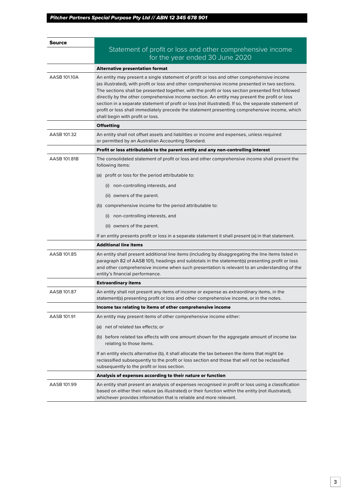| Source       |                                                                                                                                                                                                                                                                                                                                                                                                                                                                                                                                                                                                                                                  |
|--------------|--------------------------------------------------------------------------------------------------------------------------------------------------------------------------------------------------------------------------------------------------------------------------------------------------------------------------------------------------------------------------------------------------------------------------------------------------------------------------------------------------------------------------------------------------------------------------------------------------------------------------------------------------|
|              | Statement of profit or loss and other comprehensive income                                                                                                                                                                                                                                                                                                                                                                                                                                                                                                                                                                                       |
|              | for the year ended 30 June 2020                                                                                                                                                                                                                                                                                                                                                                                                                                                                                                                                                                                                                  |
|              | Alternative presentation format                                                                                                                                                                                                                                                                                                                                                                                                                                                                                                                                                                                                                  |
| AASR 101.10A | An entity may present a single statement of profit or loss and other comprehensive income<br>(as illustrated), with profit or loss and other comprehensive income presented in two sections.<br>The sections shall be presented together, with the profit or loss section presented first followed<br>directly by the other comprehensive income section. An entity may present the profit or loss<br>section in a separate statement of profit or loss (not illustrated). If so, the separate statement of<br>profit or loss shall immediately precede the statement presenting comprehensive income, which<br>shall begin with profit or loss. |
|              | Offsetting                                                                                                                                                                                                                                                                                                                                                                                                                                                                                                                                                                                                                                       |
| AASB 101.32  | An entity shall not offset assets and liabilities or income and expenses, unless required<br>or permitted by an Australian Accounting Standard.                                                                                                                                                                                                                                                                                                                                                                                                                                                                                                  |
|              | Profit or loss attributable to the parent entity and any non-controlling interest                                                                                                                                                                                                                                                                                                                                                                                                                                                                                                                                                                |
| AASB 101.81B | The consolidated statement of profit or loss and other comprehensive income shall present the<br>following items:                                                                                                                                                                                                                                                                                                                                                                                                                                                                                                                                |
|              | (a) profit or loss for the period attributable to:                                                                                                                                                                                                                                                                                                                                                                                                                                                                                                                                                                                               |
|              | (i) non-controlling interests, and                                                                                                                                                                                                                                                                                                                                                                                                                                                                                                                                                                                                               |
|              | (ii) owners of the parent.                                                                                                                                                                                                                                                                                                                                                                                                                                                                                                                                                                                                                       |
|              | (b) comprehensive income for the period attributable to:                                                                                                                                                                                                                                                                                                                                                                                                                                                                                                                                                                                         |
|              | (i) non-controlling interests, and                                                                                                                                                                                                                                                                                                                                                                                                                                                                                                                                                                                                               |
|              | (ii) owners of the parent.                                                                                                                                                                                                                                                                                                                                                                                                                                                                                                                                                                                                                       |
|              | If an entity presents profit or loss in a separate statement it shall present (a) in that statement.                                                                                                                                                                                                                                                                                                                                                                                                                                                                                                                                             |
|              | <b>Additional line items</b>                                                                                                                                                                                                                                                                                                                                                                                                                                                                                                                                                                                                                     |
| AASB 101.85  | An entity shall present additional line items (including by disaggregating the line items listed in<br>paragraph 82 of AASB 101), headings and subtotals in the statement(s) presenting profit or loss<br>and other comprehensive income when such presentation is relevant to an understanding of the<br>entity's financial performance.                                                                                                                                                                                                                                                                                                        |
|              | <b>Extraordinary items</b>                                                                                                                                                                                                                                                                                                                                                                                                                                                                                                                                                                                                                       |
| AASB 101.87  | An entity shall not present any items of income or expense as extraordinary items, in the<br>statement(s) presenting profit or loss and other comprehensive income, or in the notes.                                                                                                                                                                                                                                                                                                                                                                                                                                                             |
|              | Income tax relating to items of other comprehensive income                                                                                                                                                                                                                                                                                                                                                                                                                                                                                                                                                                                       |
| AASB 101.91  | An entity may present items of other comprehensive income either:                                                                                                                                                                                                                                                                                                                                                                                                                                                                                                                                                                                |
|              | (a) net of related tax effects; or                                                                                                                                                                                                                                                                                                                                                                                                                                                                                                                                                                                                               |
|              | (b) before related tax effects with one amount shown for the aggregate amount of income tax<br>relating to those items.                                                                                                                                                                                                                                                                                                                                                                                                                                                                                                                          |
|              | If an entity elects alternative (b), it shall allocate the tax between the items that might be<br>reclassified subsequently to the profit or loss section and those that will not be reclassified<br>subsequently to the profit or loss section.                                                                                                                                                                                                                                                                                                                                                                                                 |
|              | Analysis of expenses according to their nature or function                                                                                                                                                                                                                                                                                                                                                                                                                                                                                                                                                                                       |
| AASB 101.99  | An entity shall present an analysis of expenses recognised in profit or loss using a classification<br>,based on either their nature (as illustrated) or their function within the entity (not illustrated)<br>whichever provides information that is reliable and more relevant.                                                                                                                                                                                                                                                                                                                                                                |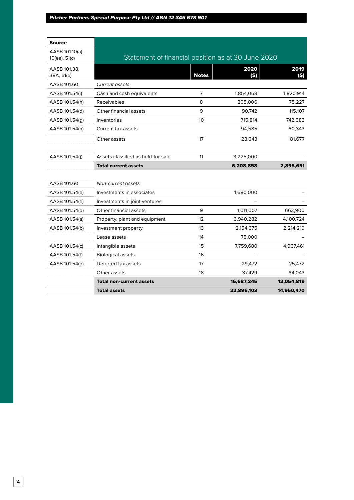| <b>Source</b>                    |                                                    |              |              |             |
|----------------------------------|----------------------------------------------------|--------------|--------------|-------------|
| AASB 101.10(a),<br>10(ea), 51(c) | Statement of financial position as at 30 June 2020 |              |              |             |
| AASB 101.38,<br>38A, 51(e)       |                                                    | <b>Notes</b> | 2020<br>(\$) | 2019<br>(5) |
| AASB 101.60                      | <b>Current assets</b>                              |              |              |             |
| AASB 101.54(i)                   | Cash and cash equivalents                          | 7            | 1,854,068    | 1,820,914   |
| AASB 101.54(h)                   | Receivables                                        | 8            | 205,006      | 75,227      |
| AASB 101.54(d)                   | Other financial assets                             | 9            | 90,742       | 115,107     |
| AASB 101.54(g)                   | Inventories                                        | 10           | 715,814      | 742,383     |
| AASB 101.54(n)                   | Current tax assets                                 |              | 94,585       | 60,343      |
|                                  | Other assets                                       | 17           | 23,643       | 81,677      |
|                                  |                                                    |              |              |             |
| AASB 101.54(i)                   | Assets classified as held-for-sale                 | 11           | 3,225,000    |             |
|                                  | <b>Total current assets</b>                        |              | 6,208,858    | 2,895,651   |
|                                  |                                                    |              |              |             |
| AASB 101.60                      | Non-current assets                                 |              |              |             |
| AASB 101.54(e)                   | Investments in associates                          |              | 1,680,000    |             |
| AASB 101.54(e)                   | Investments in joint ventures                      |              |              |             |
| AASB 101.54(d)                   | Other financial assets                             | 9            | 1,011,007    | 662,900     |
| AASB 101.54(a)                   | Property, plant and equipment                      | 12           | 3,940,282    | 4,100,724   |
| AASB 101.54(b)                   | Investment property                                | 13           | 2,154,375    | 2,214,219   |
|                                  | Lease assets                                       | 14           | 75,000       |             |
| AASB 101.54(c)                   | Intangible assets                                  | 15           | 7,759,680    | 4,967,461   |
| AASB 101.54(f)                   | <b>Biological assets</b>                           | 16           |              |             |
| AASB 101.54(o)                   | Deferred tax assets                                | 17           | 29,472       | 25,472      |
|                                  | Other assets                                       | 18           | 37,429       | 84,043      |
|                                  | <b>Total non-current assets</b>                    |              | 16,687,245   | 12,054,819  |
|                                  | <b>Total assets</b>                                |              | 22,896,103   | 14,950,470  |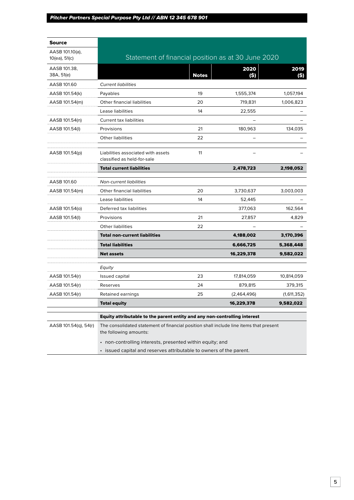| <b>Source</b>              |                                                                                                                  |              |             |              |
|----------------------------|------------------------------------------------------------------------------------------------------------------|--------------|-------------|--------------|
| AASB 101.10(a),            |                                                                                                                  |              |             |              |
| 10(ea), 51(c)              | Statement of financial position as at 30 June 2020                                                               |              |             |              |
| AASB 101.38,<br>38A, 51(e) |                                                                                                                  | <b>Notes</b> | 2020<br>(S) | 2019<br>(\$) |
| AASB 101.60                | <b>Current liabilities</b>                                                                                       |              |             |              |
| AASB 101.54(k)             | Payables                                                                                                         | 19           | 1,555,374   | 1,057,194    |
| AASB 101.54(m)             | Other financial liabilities                                                                                      | 20           | 719,831     | 1,006,823    |
|                            | Lease liabilities                                                                                                | 14           | 22,555      |              |
| AASB 101.54(n)             | <b>Current tax liabilities</b>                                                                                   |              |             |              |
| AASB 101.54(I)             | Provisions                                                                                                       | 21           | 180,963     | 134,035      |
|                            | Other liabilities                                                                                                | 22           |             |              |
| AASB 101.54(p)             | Liabilities associated with assets<br>classified as held-for-sale                                                | 11           |             |              |
|                            | <b>Total current liabilities</b>                                                                                 |              | 2,478,723   | 2,198,052    |
| AASB 101.60                | <b>Non-current liabilities</b>                                                                                   |              |             |              |
| AASB 101.54(m)             | Other financial liabilities                                                                                      | 20           | 3,730,637   | 3,003,003    |
|                            | Lease liabilities                                                                                                | 14           | 52,445      |              |
| AASB 101.54(o)             | Deferred tax liabilities                                                                                         |              | 377,063     | 162,564      |
| AASB 101.54(I)             | Provisions                                                                                                       | 21           | 27,857      | 4,829        |
|                            | <b>Other liabilities</b>                                                                                         | 22           |             |              |
|                            | <b>Total non-current liabilities</b>                                                                             |              | 4,188,002   | 3,170,396    |
|                            | <b>Total liabilities</b>                                                                                         |              | 6,666,725   | 5,368,448    |
|                            | <b>Net assets</b>                                                                                                |              | 16,229,378  | 9,582,022    |
|                            | Equity                                                                                                           |              |             |              |
| AASB 101.54(r)             | Issued capital                                                                                                   | 23           | 17,814,059  | 10,814,059   |
| AASB 101.54(r)             | Reserves                                                                                                         | 24           | 879,815     | 379,315      |
| AASB 101.54(r)             | Retained earnings                                                                                                | 25           | (2,464,496) | (1,611,352)  |
|                            | <b>Total equity</b>                                                                                              |              | 16,229,378  | 9,582,022    |
|                            | Equity attributable to the parent entity and any non-controlling interest                                        |              |             |              |
| AASB 101.54(q), 54(r)      | The consolidated statement of financial position shall include line items that present<br>the following amounts: |              |             |              |
|                            | • non-controlling interests, presented within equity; and                                                        |              |             |              |
|                            | • issued capital and reserves attributable to owners of the parent.                                              |              |             |              |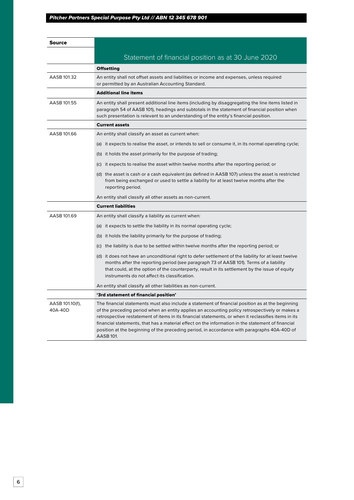| Source                     |                                                                                                                                                                                                                                                                                                                                                                                                                                                                                                                             |
|----------------------------|-----------------------------------------------------------------------------------------------------------------------------------------------------------------------------------------------------------------------------------------------------------------------------------------------------------------------------------------------------------------------------------------------------------------------------------------------------------------------------------------------------------------------------|
|                            | Statement of financial position as at 30 June 2020                                                                                                                                                                                                                                                                                                                                                                                                                                                                          |
|                            | <b>Offsetting</b>                                                                                                                                                                                                                                                                                                                                                                                                                                                                                                           |
| AASB 101.32                | An entity shall not offset assets and liabilities or income and expenses, unless required                                                                                                                                                                                                                                                                                                                                                                                                                                   |
|                            | or permitted by an Australian Accounting Standard.                                                                                                                                                                                                                                                                                                                                                                                                                                                                          |
|                            | <b>Additional line items</b>                                                                                                                                                                                                                                                                                                                                                                                                                                                                                                |
| AASB 101.55                | An entity shall present additional line items (including by disaggregating the line items listed in<br>paragraph 54 of AASB 101), headings and subtotals in the statement of financial position when<br>such presentation is relevant to an understanding of the entity's financial position.                                                                                                                                                                                                                               |
|                            | <b>Current assets</b>                                                                                                                                                                                                                                                                                                                                                                                                                                                                                                       |
| AASB 101.66                | An entity shall classify an asset as current when:                                                                                                                                                                                                                                                                                                                                                                                                                                                                          |
|                            | (a) it expects to realise the asset, or intends to sell or consume it, in its normal operating cycle;                                                                                                                                                                                                                                                                                                                                                                                                                       |
|                            | (b) it holds the asset primarily for the purpose of trading;                                                                                                                                                                                                                                                                                                                                                                                                                                                                |
|                            | (c) it expects to realise the asset within twelve months after the reporting period; or                                                                                                                                                                                                                                                                                                                                                                                                                                     |
|                            | (d) the asset is cash or a cash equivalent (as defined in AASB 107) unless the asset is restricted<br>from being exchanged or used to settle a liability for at least twelve months after the<br>reporting period.                                                                                                                                                                                                                                                                                                          |
|                            | An entity shall classify all other assets as non-current.                                                                                                                                                                                                                                                                                                                                                                                                                                                                   |
|                            | <b>Current liabilities</b>                                                                                                                                                                                                                                                                                                                                                                                                                                                                                                  |
| AASB 101.69                | An entity shall classify a liability as current when:                                                                                                                                                                                                                                                                                                                                                                                                                                                                       |
|                            | (a) it expects to settle the liability in its normal operating cycle;                                                                                                                                                                                                                                                                                                                                                                                                                                                       |
|                            | (b) it holds the liability primarily for the purpose of trading;                                                                                                                                                                                                                                                                                                                                                                                                                                                            |
|                            | (c) the liability is due to be settled within twelve months after the reporting period; or                                                                                                                                                                                                                                                                                                                                                                                                                                  |
|                            | (d) it does not have an unconditional right to defer settlement of the liability for at least twelve<br>months after the reporting period (see paragraph 73 of AASB 101). Terms of a liability<br>that could, at the option of the counterparty, result in its settlement by the issue of equity<br>instruments do not affect its classification.                                                                                                                                                                           |
|                            | An entity shall classify all other liabilities as non-current.                                                                                                                                                                                                                                                                                                                                                                                                                                                              |
|                            | '3rd statement of financial position'                                                                                                                                                                                                                                                                                                                                                                                                                                                                                       |
| AASB 101.10(f),<br>40A-40D | The financial statements must also include a statement of financial position as at the beginning<br>of the preceding period when an entity applies an accounting policy retrospectively or makes a<br>retrospective restatement of items in its financial statements, or when it reclassifies items in its<br>financial statements, that has a material effect on the information in the statement of financial<br>position at the beginning of the preceding period, in accordance with paragraphs 40A-40D of<br>AASB 101. |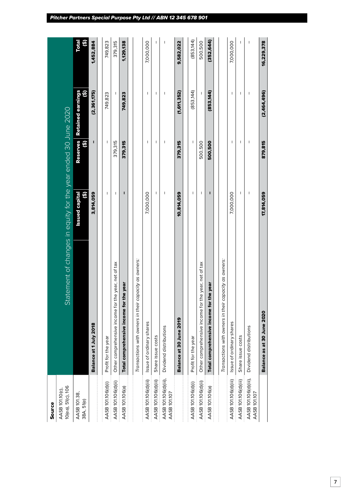| Source                                |                                                                |                            |                                           |                                             |             |
|---------------------------------------|----------------------------------------------------------------|----------------------------|-------------------------------------------|---------------------------------------------|-------------|
| 10(ea), 51(c), 106<br>AASB 101.10(c), | Statement of changes in equity for the year ended 30 June 2020 |                            |                                           |                                             |             |
| AASB 101.38,<br>38A, 51(e)            |                                                                | <b>Issued capital</b><br>û | <b>Reserves</b><br>$\widehat{\mathbf{e}}$ | Retained earnings<br>$\widehat{\mathbf{e}}$ | Total<br>û, |
|                                       | Balance at 1 July 2018                                         | 3,814,059                  | ı                                         | (2,361,175)                                 | 1,452,884   |
| AASB 101.106(d)(i)                    | Profit for the year                                            | ı                          | I                                         | 749,823                                     | 749,823     |
| AASB 101.106(d)(ii)                   | Other comprehensive income for the year, net of tax            | I                          | 379,315                                   | $\overline{1}$                              | 379,315     |
| AASB 101.106(a)                       | Total comprehensive income for the year                        | ī                          | 379,315                                   | 749,823                                     | 1,129,138   |
|                                       | Transactions with owners in their capacity as owners:          |                            |                                           |                                             |             |
|                                       |                                                                |                            |                                           |                                             |             |
| AASB 101.106(d)(iii)                  | Issue of ordinary shares                                       | 7,000,000                  | $\overline{\phantom{a}}$                  | $\overline{\phantom{a}}$                    | 7,000,000   |
| AASB 101.106(d)(iii)                  | Share issue costs                                              | I                          | $\overline{\phantom{a}}$                  | I                                           | ı           |
| AASB 101.106(d)(iii),<br>AASB 101.107 | Dividend distributions                                         | I                          | I                                         | I                                           | I           |
|                                       | Balance at 30 June 2019                                        | 10,814,059                 | 379,315                                   | (1,611,352)                                 | 9,582,022   |
| AASB 101.106(d)(i)                    | Profit for the year                                            | T                          | T                                         | (853, 144)                                  | (853, 144)  |
| AASB 101.106(d)(ii)                   | Other comprehensive income for the year, net of tax            | I                          | 500,500                                   |                                             | 500,500     |
| AASB 101.106(a)                       | Total comprehensive income for the year                        | ı                          | 500,500                                   | (853,144)                                   | 352,644)    |
|                                       | Transactions with owners in their capacity as owners:          |                            |                                           |                                             |             |
| AASB 101.106(d)(iii)                  | Issue of ordinary shares                                       | 7,000,000                  | ı                                         | I                                           | 7,000,000   |
| AASB 101.106(d)(iii)                  | Share issue costs                                              | I                          | I                                         | $\overline{\phantom{a}}$                    | ı           |
| AASB 101.106(d)(iii),<br>AASB 101.107 | Dividend distributions                                         | ı                          | I                                         | I                                           | I           |
|                                       | Balance as at 30 June 2020                                     | 17,814,059                 | 879,815                                   | (2,464,496)                                 | 16,229,378  |
|                                       |                                                                |                            |                                           |                                             |             |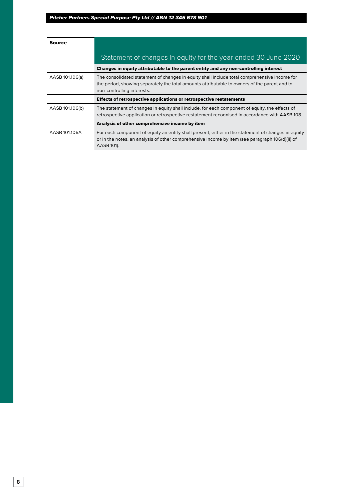| Source          |                                                                                                                                                                                                                            |
|-----------------|----------------------------------------------------------------------------------------------------------------------------------------------------------------------------------------------------------------------------|
|                 | Statement of changes in equity for the year ended 30 June 2020                                                                                                                                                             |
|                 | Changes in equity attributable to the parent entity and any non-controlling interest                                                                                                                                       |
| AASB 101.106(a) | The consolidated statement of changes in equity shall include total comprehensive income for<br>the period, showing separately the total amounts attributable to owners of the parent and to<br>non-controlling interests. |
|                 | Effects of retrospective applications or retrospective restatements                                                                                                                                                        |
| AASB 101.106(b) | The statement of changes in equity shall include, for each component of equity, the effects of<br>retrospective application or retrospective restatement recognised in accordance with AASB 108.                           |
|                 | Analysis of other comprehensive income by item                                                                                                                                                                             |
| AASB 101.106A   | For each component of equity an entity shall present, either in the statement of changes in equity<br>or in the notes, an analysis of other comprehensive income by item (see paragraph 106(d)(ii) of<br>AASB 101).        |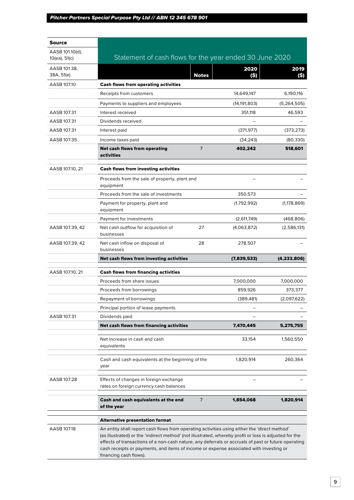| Source                           |                                                                                                                                                                                                                                                                                                                                                                                                                                   |                |                |               |
|----------------------------------|-----------------------------------------------------------------------------------------------------------------------------------------------------------------------------------------------------------------------------------------------------------------------------------------------------------------------------------------------------------------------------------------------------------------------------------|----------------|----------------|---------------|
| AASB 101.10(d),<br>10(ea), 51(c) | Statement of cash flows for the year ended 30 June 2020                                                                                                                                                                                                                                                                                                                                                                           |                |                |               |
| AASB 101.38,<br>38A, 51(e)       |                                                                                                                                                                                                                                                                                                                                                                                                                                   | <b>Notes</b>   | 2020<br>(S)    | 2019<br>(\$)  |
| AASB 107.10                      | <b>Cash flows from operating activities</b>                                                                                                                                                                                                                                                                                                                                                                                       |                |                |               |
|                                  | Receipts from customers                                                                                                                                                                                                                                                                                                                                                                                                           |                | 14,649,147     | 6,190,116     |
|                                  | Payments to suppliers and employees                                                                                                                                                                                                                                                                                                                                                                                               |                | (14, 191, 803) | (5, 264, 505) |
| AASB 107.31                      | Interest received                                                                                                                                                                                                                                                                                                                                                                                                                 |                | 351,118        | 46,593        |
| AASB 107.31                      | Dividends received                                                                                                                                                                                                                                                                                                                                                                                                                |                |                |               |
| AASB 107.31                      | Interest paid                                                                                                                                                                                                                                                                                                                                                                                                                     |                | (371, 977)     | (373, 273)    |
| AASB 107.35                      | Income taxes paid                                                                                                                                                                                                                                                                                                                                                                                                                 |                | (34, 243)      | (80, 330)     |
|                                  | <b>Net cash flows from operating</b><br>activities                                                                                                                                                                                                                                                                                                                                                                                | $\overline{7}$ | 402,242        | 518,601       |
| AASB 107.10, 21                  | <b>Cash flows from investing activities</b>                                                                                                                                                                                                                                                                                                                                                                                       |                |                |               |
|                                  | Proceeds from the sale of property, plant and<br>equipment                                                                                                                                                                                                                                                                                                                                                                        |                |                |               |
|                                  | Proceeds from the sale of investments                                                                                                                                                                                                                                                                                                                                                                                             |                | 350,573        |               |
|                                  | Payment for property, plant and<br>equipment                                                                                                                                                                                                                                                                                                                                                                                      |                | (1,792,992)    | (1, 178, 869) |
|                                  | Payment for investments                                                                                                                                                                                                                                                                                                                                                                                                           |                | (2,611,749)    | (468, 806)    |
| AASB 107.39, 42                  | Net cash outflow for acquisition of<br>businesses                                                                                                                                                                                                                                                                                                                                                                                 | 27             | (4,063,872)    | (2,586,131)   |
| AASB 107.39, 42                  | Net cash inflow on disposal of<br>businesses                                                                                                                                                                                                                                                                                                                                                                                      | 28             | 278,507        |               |
|                                  | Net cash flows from investing activities                                                                                                                                                                                                                                                                                                                                                                                          |                | (7,839,533)    | (4,233,806)   |
| AASB 107.10, 21                  | <b>Cash flows from financing activities</b>                                                                                                                                                                                                                                                                                                                                                                                       |                |                |               |
|                                  | Proceeds from share issues                                                                                                                                                                                                                                                                                                                                                                                                        |                | 7,000,000      | 7,000,000     |
|                                  | Proceeds from borrowings                                                                                                                                                                                                                                                                                                                                                                                                          |                | 859,926        | 373,377       |
|                                  | Repayment of borrowings                                                                                                                                                                                                                                                                                                                                                                                                           |                | (389, 481)     | (2,097,622)   |
|                                  | Principal portion of lease payments                                                                                                                                                                                                                                                                                                                                                                                               |                |                |               |
| AASB 107.31                      | Dividends paid                                                                                                                                                                                                                                                                                                                                                                                                                    |                |                |               |
|                                  | Net cash flows from financing activities                                                                                                                                                                                                                                                                                                                                                                                          |                | 7,470,445      | 5,275,755     |
|                                  | Net increase in cash and cash<br>equivalents                                                                                                                                                                                                                                                                                                                                                                                      |                | 33,154         | 1,560,550     |
|                                  | Cash and cash equivalents at the beginning of the<br>year                                                                                                                                                                                                                                                                                                                                                                         |                | 1,820,914      | 260,364       |
| AASB 107.28                      | Effects of changes in foreign exchange<br>rates on foreign currency cash balances                                                                                                                                                                                                                                                                                                                                                 |                |                |               |
|                                  | Cash and cash equivalents at the end<br>of the year                                                                                                                                                                                                                                                                                                                                                                               | 7              | 1,854,068      | 1,820,914     |
|                                  | Alternative presentation format                                                                                                                                                                                                                                                                                                                                                                                                   |                |                |               |
| AASB 107.18                      | An entity shall report cash flows from operating activities using either the 'direct method'<br>(as illustrated) or the 'indirect method' (not illustrated, whereby profit or loss is adjusted for the<br>effects of transactions of a non-cash nature, any deferrals or accruals of past or future operating<br>cash receipts or payments, and items of income or expense associated with investing or<br>financing cash flows). |                |                |               |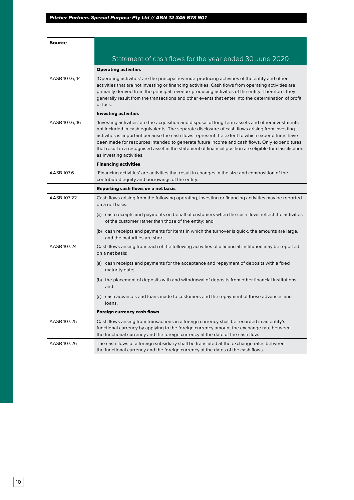| Source         |                                                                                                                                                                                                                                                                                                                                                                                                                                                                                                                                               |
|----------------|-----------------------------------------------------------------------------------------------------------------------------------------------------------------------------------------------------------------------------------------------------------------------------------------------------------------------------------------------------------------------------------------------------------------------------------------------------------------------------------------------------------------------------------------------|
|                | Statement of cash flows for the year ended 30 June 2020                                                                                                                                                                                                                                                                                                                                                                                                                                                                                       |
|                | <b>Operating activities</b>                                                                                                                                                                                                                                                                                                                                                                                                                                                                                                                   |
| AASB 107.6, 14 |                                                                                                                                                                                                                                                                                                                                                                                                                                                                                                                                               |
|                | 'Operating activities' are the principal revenue-producing activities of the entity and other<br>activities that are not investing or financing activities. Cash flows from operating activities are<br>primarily derived from the principal revenue-producing activities of the entity. Therefore, they<br>generally result from the transactions and other events that enter into the determination of profit<br>or loss.                                                                                                                   |
|                | <b>Investing activities</b>                                                                                                                                                                                                                                                                                                                                                                                                                                                                                                                   |
| AASB 107.6, 16 | Investing activities' are the acquisition and disposal of long-term assets and other investments'<br>not included in cash equivalents. The separate disclosure of cash flows arising from investing<br>activities is important because the cash flows represent the extent to which expenditures have<br>been made for resources intended to generate future income and cash flows. Only expenditures<br>that result in a recognised asset in the statement of financial position are eligible for classification<br>as investing activities. |
|                | <b>Financing activities</b>                                                                                                                                                                                                                                                                                                                                                                                                                                                                                                                   |
| AASB 107.6     | 'Financing activities' are activities that result in changes in the size and composition of the<br>contributed equity and borrowings of the entity.                                                                                                                                                                                                                                                                                                                                                                                           |
|                | Reporting cash flows on a net basis                                                                                                                                                                                                                                                                                                                                                                                                                                                                                                           |
| AASB 107.22    | Cash flows arising from the following operating, investing or financing activities may be reported<br>on a net basis:                                                                                                                                                                                                                                                                                                                                                                                                                         |
|                | (a) cash receipts and payments on behalf of customers when the cash flows reflect the activities<br>of the customer rather than those of the entity; and                                                                                                                                                                                                                                                                                                                                                                                      |
|                | (b) cash receipts and payments for items in which the turnover is quick, the amounts are large,<br>and the maturities are short.                                                                                                                                                                                                                                                                                                                                                                                                              |
| AASB 107.24    | Cash flows arising from each of the following activities of a financial institution may be reported<br>on a net basis:                                                                                                                                                                                                                                                                                                                                                                                                                        |
|                | (a) cash receipts and payments for the acceptance and repayment of deposits with a fixed<br>maturity date;                                                                                                                                                                                                                                                                                                                                                                                                                                    |
|                | (b) the placement of deposits with and withdrawal of deposits from other financial institutions;<br>and                                                                                                                                                                                                                                                                                                                                                                                                                                       |
|                | (c) cash advances and loans made to customers and the repayment of those advances and<br>loans.                                                                                                                                                                                                                                                                                                                                                                                                                                               |
|                | <b>Foreign currency cash flows</b>                                                                                                                                                                                                                                                                                                                                                                                                                                                                                                            |
| AASB 107.25    | Cash flows arising from transactions in a foreign currency shall be recorded in an entity's<br>functional currency by applying to the foreign currency amount the exchange rate between<br>the functional currency and the foreign currency at the date of the cash flow.                                                                                                                                                                                                                                                                     |
| AASB 107.26    | The cash flows of a foreign subsidiary shall be translated at the exchange rates between<br>the functional currency and the foreign currency at the dates of the cash flows.                                                                                                                                                                                                                                                                                                                                                                  |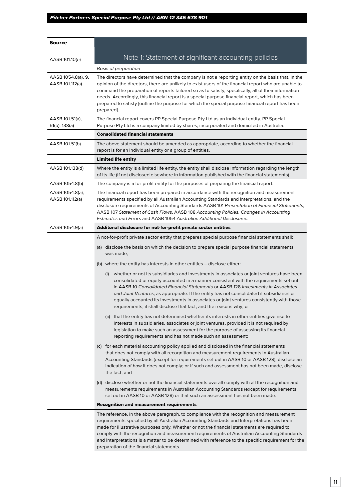| Source                                |                                                                                                                                                                                                                                                                                                                                                                                                                                                                                                                                                 |
|---------------------------------------|-------------------------------------------------------------------------------------------------------------------------------------------------------------------------------------------------------------------------------------------------------------------------------------------------------------------------------------------------------------------------------------------------------------------------------------------------------------------------------------------------------------------------------------------------|
| AASB 101.10(e)                        | Note 1: Statement of significant accounting policies                                                                                                                                                                                                                                                                                                                                                                                                                                                                                            |
|                                       | <b>Basis of preparation</b>                                                                                                                                                                                                                                                                                                                                                                                                                                                                                                                     |
| AASB 1054.8(a), 9,<br>AASB 101.112(a) | The directors have determined that the company is not a reporting entity on the basis that, in the<br>opinion of the directors, there are unlikely to exist users of the financial report who are unable to<br>command the preparation of reports tailored so as to satisfy, specifically, all of their information<br>needs. Accordingly, this financial report is a special purpose financial report, which has been<br>prepared to satisfy [outline the purpose for which the special purpose financial report has been<br>prepared].        |
| AASB 101.51(a),<br>51(b), 138(a)      | The financial report covers PP Special Purpose Pty Ltd as an individual entity. PP Special<br>Purpose Pty Ltd is a company limited by shares, incorporated and domiciled in Australia.                                                                                                                                                                                                                                                                                                                                                          |
|                                       | <b>Consolidated financial statements</b>                                                                                                                                                                                                                                                                                                                                                                                                                                                                                                        |
| AASB 101.51(b)                        | The above statement should be amended as appropriate, according to whether the financial<br>report is for an individual entity or a group of entities.                                                                                                                                                                                                                                                                                                                                                                                          |
|                                       | Limited life entity                                                                                                                                                                                                                                                                                                                                                                                                                                                                                                                             |
| AASB 101.138(d)                       | Where the entity is a limited life entity, the entity shall disclose information regarding the length<br>of its life (if not disclosed elsewhere in information published with the financial statements).                                                                                                                                                                                                                                                                                                                                       |
| AASB 1054.8(b)                        | The company is a for-profit entity for the purposes of preparing the financial report.                                                                                                                                                                                                                                                                                                                                                                                                                                                          |
| AASB 1054.8(a),<br>AASB 101.112(a)    | The financial report has been prepared in accordance with the recognition and measurement<br>requirements specified by all Australian Accounting Standards and Interpretations, and the<br>disclosure requirements of Accounting Standards AASB 101 Presentation of Financial Statements,<br>AASB 107 Statement of Cash Flows, AASB 108 Accounting Policies, Changes in Accounting<br>Estimates and Errors and AASB 1054 Australian Additional Disclosures.                                                                                     |
| AASB 1054.9(a)                        | Additonal disclosure for not-for-profit private sector entities                                                                                                                                                                                                                                                                                                                                                                                                                                                                                 |
|                                       | A not-for-profit private sector entity that prepares special purpose financial statements shall:                                                                                                                                                                                                                                                                                                                                                                                                                                                |
|                                       | (a) disclose the basis on which the decision to prepare special purpose financial statements<br>was made;                                                                                                                                                                                                                                                                                                                                                                                                                                       |
|                                       | (b) where the entity has interests in other entities - disclose either:                                                                                                                                                                                                                                                                                                                                                                                                                                                                         |
|                                       | whether or not its subsidiaries and investments in associates or joint ventures have been<br>(i)<br>consolidated or equity accounted in a manner consistent with the requirements set out<br>in AASB 10 Consolidated Financial Statements or AASB 128 Investments in Associates<br>and Joint Ventures, as appropriate. If the entity has not consolidated it subsidiaries or<br>equally accounted its investments in associates or joint ventures consistently with those<br>requirements, it shall disclose that fact, and the reasons why; or |
|                                       | (ii) that the entity has not determined whether its interests in other entities give rise to<br>interests in subsidiaries, associates or joint ventures, provided it is not required by<br>legislation to make such an assessment for the purpose of assessing its financial<br>reporting requirements and has not made such an assessment;                                                                                                                                                                                                     |
|                                       | (c) for each material accounting policy applied and disclosed in the financial statements<br>that does not comply with all recognition and measurement requirements in Australian<br>Accounting Standards (except for requirements set out in AASB 10 or AASB 128), disclose an<br>indication of how it does not comply; or if such and assessment has not been made, disclose<br>the fact; and                                                                                                                                                 |
|                                       | (d) disclose whether or not the financial statements overall comply with all the recognition and<br>measurements requirements in Australian Accounting Standards (except for requirements<br>set out in AASB 10 or AASB 128) or that such an assessment has not been made.                                                                                                                                                                                                                                                                      |
|                                       | <b>Recognition and measurement requirements</b>                                                                                                                                                                                                                                                                                                                                                                                                                                                                                                 |
|                                       | The reference, in the above paragraph, to compliance with the recognition and measurement<br>requirements specified by all Australian Accounting Standards and Interpretations has been<br>made for illustrative purposes only. Whether or not the financial statements are required to<br>comply with the recognition and measurement requirements of Australian Accounting Standards<br>and Interpretations is a matter to be determined with reference to the specific requirement for the<br>preparation of the financial statements.       |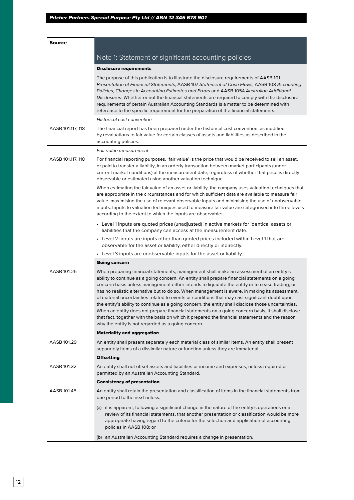| Source            |                                                                                                                                                                                                                                                                                                                                                                                                                                                                                                                                                                                                                                                                                                                                                                                                                                                                      |
|-------------------|----------------------------------------------------------------------------------------------------------------------------------------------------------------------------------------------------------------------------------------------------------------------------------------------------------------------------------------------------------------------------------------------------------------------------------------------------------------------------------------------------------------------------------------------------------------------------------------------------------------------------------------------------------------------------------------------------------------------------------------------------------------------------------------------------------------------------------------------------------------------|
|                   | Note 1: Statement of significant accounting policies                                                                                                                                                                                                                                                                                                                                                                                                                                                                                                                                                                                                                                                                                                                                                                                                                 |
|                   | <b>Disclosure requirements</b>                                                                                                                                                                                                                                                                                                                                                                                                                                                                                                                                                                                                                                                                                                                                                                                                                                       |
|                   | The purpose of this publication is to illustrate the disclosure requirements of AASB 101<br>Presentation of Financial Statements, AASB 107 Statement of Cash Flows, AASB 108 Accounting<br>Policies, Changes in Accounting Estimates and Errors and AASB 1054 Australian Additional<br>Disclosures. Whether or not the financial statements are required to comply with the disclosure<br>requirements of certain Australian Accounting Standards is a matter to be determined with<br>reference to the specific requirement for the preparation of the financial statements.                                                                                                                                                                                                                                                                                        |
|                   | <b>Historical cost convention</b>                                                                                                                                                                                                                                                                                                                                                                                                                                                                                                                                                                                                                                                                                                                                                                                                                                    |
| AASB 101.117, 118 | The financial report has been prepared under the historical cost convention, as modified<br>by revaluations to fair value for certain classes of assets and liabilities as described in the<br>accounting policies.                                                                                                                                                                                                                                                                                                                                                                                                                                                                                                                                                                                                                                                  |
|                   | Fair value measurement                                                                                                                                                                                                                                                                                                                                                                                                                                                                                                                                                                                                                                                                                                                                                                                                                                               |
| AASB 101.117, 118 | For financial reporting purposes, 'fair value' is the price that would be received to sell an asset,<br>or paid to transfer a liability, in an orderly transaction between market participants (under<br>current market conditions) at the measurement date, regardless of whether that price is directly<br>observable or estimated using another valuation technique.                                                                                                                                                                                                                                                                                                                                                                                                                                                                                              |
|                   | When estimating the fair value of an asset or liability, the company uses valuation techniques that<br>are appropriate in the circumstances and for which sufficient data are available to measure fair<br>value, maximising the use of relevant observable inputs and minimising the use of unobservable<br>inputs. Inputs to valuation techniques used to measure fair value are categorised into three levels<br>according to the extent to which the inputs are observable:                                                                                                                                                                                                                                                                                                                                                                                      |
|                   | • Level 1 inputs are quoted prices (unadjusted) in active markets for identical assets or<br>liabilities that the company can access at the measurement date.                                                                                                                                                                                                                                                                                                                                                                                                                                                                                                                                                                                                                                                                                                        |
|                   | • Level 2 inputs are inputs other than quoted prices included within Level 1 that are<br>observable for the asset or liability, either directly or indirectly.                                                                                                                                                                                                                                                                                                                                                                                                                                                                                                                                                                                                                                                                                                       |
|                   | • Level 3 inputs are unobservable inputs for the asset or liability.                                                                                                                                                                                                                                                                                                                                                                                                                                                                                                                                                                                                                                                                                                                                                                                                 |
|                   | Going concern                                                                                                                                                                                                                                                                                                                                                                                                                                                                                                                                                                                                                                                                                                                                                                                                                                                        |
| AASB 101.25       | When preparing financial statements, management shall make an assessment of an entity's<br>ability to continue as a going concern. An entity shall prepare financial statements on a going<br>concern basis unless management either intends to liquidate the entity or to cease trading, or<br>has no realistic alternative but to do so. When management is aware, in making its assessment,<br>of material uncertainties related to events or conditions that may cast significant doubt upon<br>the entity's ability to continue as a going concern, the entity shall disclose those uncertainties.<br>When an entity does not prepare financial statements on a going concern basis, it shall disclose<br>that fact, together with the basis on which it prepared the financial statements and the reason<br>why the entity is not regarded as a going concern. |
|                   | <b>Materiality and aggregation</b>                                                                                                                                                                                                                                                                                                                                                                                                                                                                                                                                                                                                                                                                                                                                                                                                                                   |
| AASB 101.29       | An entity shall present separately each material class of similar items. An entity shall present<br>separately items of a dissimilar nature or function unless they are immaterial.                                                                                                                                                                                                                                                                                                                                                                                                                                                                                                                                                                                                                                                                                  |
|                   | <b>Offsetting</b>                                                                                                                                                                                                                                                                                                                                                                                                                                                                                                                                                                                                                                                                                                                                                                                                                                                    |
| AASB 101.32       | An entity shall not offset assets and liabilities or income and expenses, unless required or<br>permitted by an Australian Accounting Standard.                                                                                                                                                                                                                                                                                                                                                                                                                                                                                                                                                                                                                                                                                                                      |
|                   | <b>Consistency of presentation</b>                                                                                                                                                                                                                                                                                                                                                                                                                                                                                                                                                                                                                                                                                                                                                                                                                                   |
| AASB 101.45       | An entity shall retain the presentation and classification of items in the financial statements from<br>one period to the next unless:                                                                                                                                                                                                                                                                                                                                                                                                                                                                                                                                                                                                                                                                                                                               |
|                   | (a) it is apparent, following a significant change in the nature of the entity's operations or a<br>review of its financial statements, that another presentation or classification would be more<br>appropriate having regard to the criteria for the selection and application of accounting<br>policies in AASB 108; or                                                                                                                                                                                                                                                                                                                                                                                                                                                                                                                                           |
|                   | (b) an Australian Accounting Standard requires a change in presentation.                                                                                                                                                                                                                                                                                                                                                                                                                                                                                                                                                                                                                                                                                                                                                                                             |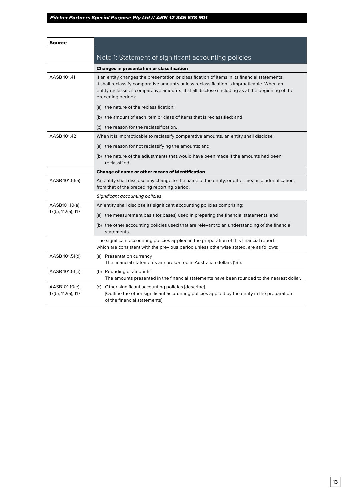| Source                               |                                                                                                                                                                                                                                                                                                                      |
|--------------------------------------|----------------------------------------------------------------------------------------------------------------------------------------------------------------------------------------------------------------------------------------------------------------------------------------------------------------------|
|                                      | Note 1: Statement of significant accounting policies                                                                                                                                                                                                                                                                 |
|                                      | <b>Changes in presentation or classification</b>                                                                                                                                                                                                                                                                     |
| AASB 101.41                          | If an entity changes the presentation or classification of items in its financial statements,<br>it shall reclassify comparative amounts unless reclassification is impracticable. When an<br>entity reclassifies comparative amounts, it shall disclose (including as at the beginning of the<br>preceding period): |
|                                      | (a) the nature of the reclassification;                                                                                                                                                                                                                                                                              |
|                                      | (b) the amount of each item or class of items that is reclassified; and                                                                                                                                                                                                                                              |
|                                      | (c) the reason for the reclassification.                                                                                                                                                                                                                                                                             |
| AASB 101.42                          | When it is impracticable to reclassify comparative amounts, an entity shall disclose:                                                                                                                                                                                                                                |
|                                      | (a) the reason for not reclassifying the amounts; and                                                                                                                                                                                                                                                                |
|                                      | (b) the nature of the adjustments that would have been made if the amounts had been<br>reclassified.                                                                                                                                                                                                                 |
|                                      | Change of name or other means of identification                                                                                                                                                                                                                                                                      |
| AASB 101.51(a)                       | An entity shall disclose any change to the name of the entity, or other means of identification,<br>from that of the preceding reporting period.                                                                                                                                                                     |
|                                      | Significant accounting policies                                                                                                                                                                                                                                                                                      |
| AASB101.10(e),                       | An entity shall disclose its significant accounting policies comprising:                                                                                                                                                                                                                                             |
| 17(b), 112(a), 117                   | (a) the measurement basis (or bases) used in preparing the financial statements; and                                                                                                                                                                                                                                 |
|                                      | (b) the other accounting policies used that are relevant to an understanding of the financial<br>statements.                                                                                                                                                                                                         |
|                                      | The significant accounting policies applied in the preparation of this financial report,<br>which are consistent with the previous period unless otherwise stated, are as follows:                                                                                                                                   |
| AASB 101.51(d)                       | (a) Presentation currency<br>The financial statements are presented in Australian dollars ('\$').                                                                                                                                                                                                                    |
| AASB 101.51(e)                       | (b) Rounding of amounts<br>The amounts presented in the financial statements have been rounded to the nearest dollar.                                                                                                                                                                                                |
| AASB101.10(e),<br>17(b), 112(a), 117 | (c) Other significant accounting policies [describe]<br>[Outline the other significant accounting policies applied by the entity in the preparation<br>of the financial statements]                                                                                                                                  |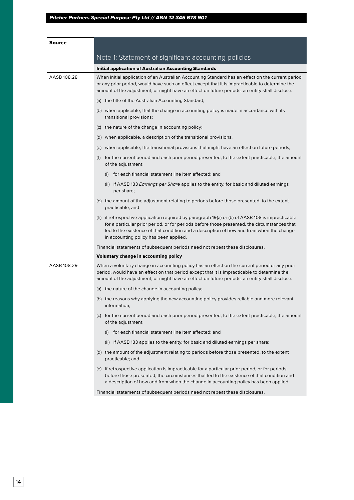| Source      |                                                                                                                                                                                                                                                                                                                                        |
|-------------|----------------------------------------------------------------------------------------------------------------------------------------------------------------------------------------------------------------------------------------------------------------------------------------------------------------------------------------|
|             | Note 1: Statement of significant accounting policies                                                                                                                                                                                                                                                                                   |
|             | <b>Initial application of Australian Accounting Standards</b>                                                                                                                                                                                                                                                                          |
| AASB 108.28 | When initial application of an Australian Accounting Standard has an effect on the current period<br>or any prior period, would have such an effect except that it is impracticable to determine the<br>amount of the adjustment, or might have an effect on future periods, an entity shall disclose:                                 |
|             | (a) the title of the Australian Accounting Standard;                                                                                                                                                                                                                                                                                   |
|             | (b) when applicable, that the change in accounting policy is made in accordance with its<br>transitional provisions;                                                                                                                                                                                                                   |
|             | (c) the nature of the change in accounting policy;                                                                                                                                                                                                                                                                                     |
|             | (d) when applicable, a description of the transitional provisions;                                                                                                                                                                                                                                                                     |
|             | (e) when applicable, the transitional provisions that might have an effect on future periods;                                                                                                                                                                                                                                          |
|             | (f) for the current period and each prior period presented, to the extent practicable, the amount<br>of the adjustment:                                                                                                                                                                                                                |
|             | (i) for each financial statement line item affected; and                                                                                                                                                                                                                                                                               |
|             | (ii) if AASB 133 <i>Earnings per Share</i> applies to the entity, for basic and diluted earnings<br>per share;                                                                                                                                                                                                                         |
|             | (g) the amount of the adjustment relating to periods before those presented, to the extent<br>practicable; and                                                                                                                                                                                                                         |
|             | (h) if retrospective application required by paragraph 19(a) or (b) of AASB 108 is impracticable<br>for a particular prior period, or for periods before those presented, the circumstances that<br>led to the existence of that condition and a description of how and from when the change<br>in accounting policy has been applied. |
|             | Financial statements of subsequent periods need not repeat these disclosures.                                                                                                                                                                                                                                                          |
|             | <b>Voluntary change in accounting policy</b>                                                                                                                                                                                                                                                                                           |
| AASB 108.29 | When a voluntary change in accounting policy has an effect on the current period or any prior<br>period, would have an effect on that period except that it is impracticable to determine the<br>amount of the adjustment, or might have an effect on future periods, an entity shall disclose:                                        |
|             | (a) the nature of the change in accounting policy;                                                                                                                                                                                                                                                                                     |
|             | (b) the reasons why applying the new accounting policy provides reliable and more relevant<br>information;                                                                                                                                                                                                                             |
|             | (c) for the current period and each prior period presented, to the extent practicable, the amount<br>of the adjustment:                                                                                                                                                                                                                |
|             | (i) for each financial statement line item affected; and                                                                                                                                                                                                                                                                               |
|             | (ii) if AASB 133 applies to the entity, for basic and diluted earnings per share;                                                                                                                                                                                                                                                      |
|             | (d) the amount of the adjustment relating to periods before those presented, to the extent<br>practicable; and                                                                                                                                                                                                                         |
|             | (e) if retrospective application is impracticable for a particular prior period, or for periods<br>before those presented, the circumstances that led to the existence of that condition and<br>a description of how and from when the change in accounting policy has been applied.                                                   |
|             | Financial statements of subsequent periods need not repeat these disclosures.                                                                                                                                                                                                                                                          |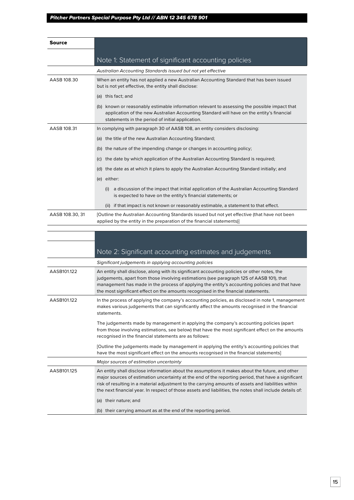| Source          |                                                                                                                                                                                                                                                                                                                                                                                                                           |  |  |
|-----------------|---------------------------------------------------------------------------------------------------------------------------------------------------------------------------------------------------------------------------------------------------------------------------------------------------------------------------------------------------------------------------------------------------------------------------|--|--|
|                 |                                                                                                                                                                                                                                                                                                                                                                                                                           |  |  |
|                 | Note 1: Statement of significant accounting policies                                                                                                                                                                                                                                                                                                                                                                      |  |  |
|                 | Australian Accounting Standards issued but not yet effective                                                                                                                                                                                                                                                                                                                                                              |  |  |
| AASB 108.30     | When an entity has not applied a new Australian Accounting Standard that has been issued<br>but is not yet effective, the entity shall disclose:                                                                                                                                                                                                                                                                          |  |  |
|                 | (a) this fact; and                                                                                                                                                                                                                                                                                                                                                                                                        |  |  |
|                 | (b) known or reasonably estimable information relevant to assessing the possible impact that<br>application of the new Australian Accounting Standard will have on the entity's financial<br>statements in the period of initial application.                                                                                                                                                                             |  |  |
| AASB 108.31     | In complying with paragraph 30 of AASB 108, an entity considers disclosing:                                                                                                                                                                                                                                                                                                                                               |  |  |
|                 | (a) the title of the new Australian Accounting Standard;                                                                                                                                                                                                                                                                                                                                                                  |  |  |
|                 | (b) the nature of the impending change or changes in accounting policy;                                                                                                                                                                                                                                                                                                                                                   |  |  |
|                 | the date by which application of the Australian Accounting Standard is required;<br>(C)                                                                                                                                                                                                                                                                                                                                   |  |  |
|                 | the date as at which it plans to apply the Australian Accounting Standard initially; and<br>(d)                                                                                                                                                                                                                                                                                                                           |  |  |
|                 | (e) either:                                                                                                                                                                                                                                                                                                                                                                                                               |  |  |
|                 | a discussion of the impact that initial application of the Australian Accounting Standard<br>(i)<br>is expected to have on the entity's financial statements; or                                                                                                                                                                                                                                                          |  |  |
|                 | (ii) if that impact is not known or reasonably estimable, a statement to that effect.                                                                                                                                                                                                                                                                                                                                     |  |  |
| AASB 108.30, 31 | [Outline the Australian Accounting Standards issued but not yet effective (that have not been<br>applied by the entity in the preparation of the financial statements)                                                                                                                                                                                                                                                    |  |  |
|                 |                                                                                                                                                                                                                                                                                                                                                                                                                           |  |  |
|                 |                                                                                                                                                                                                                                                                                                                                                                                                                           |  |  |
|                 | Note 2: Significant accounting estimates and judgements                                                                                                                                                                                                                                                                                                                                                                   |  |  |
|                 | Significant judgements in applying accounting policies                                                                                                                                                                                                                                                                                                                                                                    |  |  |
| AASB101.122     | An entity shall disclose, along with its significant accounting policies or other notes, the                                                                                                                                                                                                                                                                                                                              |  |  |
|                 | judgements, apart from those involving estimations (see paragraph 125 of AASB 101), that<br>management has made in the process of applying the entity's accounting policies and that have<br>the most significant effect on the amounts recognised in the financial statements.                                                                                                                                           |  |  |
| AASB101.122     | In the process of applying the company's accounting policies, as disclosed in note 1, management<br>makes various judgements that can significantly affect the amounts recognised in the financial<br>statements.                                                                                                                                                                                                         |  |  |
|                 | The judgements made by management in applying the company's accounting policies (apart<br>from those involving estimations, see below) that have the most significant effect on the amounts<br>recognised in the financial statements are as follows:                                                                                                                                                                     |  |  |
|                 | [Outline the judgements made by management in applying the entity's accounting policies that<br>have the most significant effect on the amounts recognised in the financial statements                                                                                                                                                                                                                                    |  |  |
|                 | Major sources of estimation uncertainty                                                                                                                                                                                                                                                                                                                                                                                   |  |  |
| AASB101.125     | An entity shall disclose information about the assumptions it makes about the future, and other<br>major sources of estimation uncertainty at the end of the reporting period, that have a significant<br>risk of resulting in a material adjustment to the carrying amounts of assets and liabilities within<br>the next financial year. In respect of those assets and liabilities, the notes shall include details of: |  |  |
|                 | (a) their nature; and                                                                                                                                                                                                                                                                                                                                                                                                     |  |  |
|                 | (b) their carrying amount as at the end of the reporting period.                                                                                                                                                                                                                                                                                                                                                          |  |  |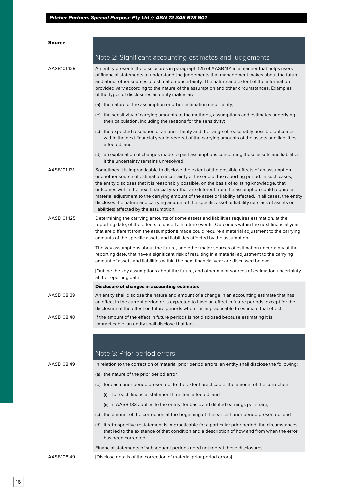| <b>Source</b> |                                                                                                                                                                                                                                                                                                                                                                                                                                                                                                                                                                                                                                                                 |
|---------------|-----------------------------------------------------------------------------------------------------------------------------------------------------------------------------------------------------------------------------------------------------------------------------------------------------------------------------------------------------------------------------------------------------------------------------------------------------------------------------------------------------------------------------------------------------------------------------------------------------------------------------------------------------------------|
|               | Note 2: Significant accounting estimates and judgements                                                                                                                                                                                                                                                                                                                                                                                                                                                                                                                                                                                                         |
| AASB101.129   | An entity presents the disclosures in paragraph 125 of AASB 101 in a manner that helps users<br>of financial statements to understand the judgements that management makes about the future<br>and about other sources of estimation uncertainty. The nature and extent of the information<br>provided vary according to the nature of the assumption and other circumstances. Examples<br>of the types of disclosures an entity makes are:                                                                                                                                                                                                                     |
|               | (a) the nature of the assumption or other estimation uncertainty;                                                                                                                                                                                                                                                                                                                                                                                                                                                                                                                                                                                               |
|               | (b) the sensitivity of carrying amounts to the methods, assumptions and estimates underlying<br>their calculation, including the reasons for the sensitivity;                                                                                                                                                                                                                                                                                                                                                                                                                                                                                                   |
|               | (c) the expected resolution of an uncertainty and the range of reasonably possible outcomes<br>within the next financial year in respect of the carrying amounts of the assets and liabilities<br>affected; and                                                                                                                                                                                                                                                                                                                                                                                                                                                 |
|               | (d) an explanation of changes made to past assumptions concerning those assets and liabilities,<br>if the uncertainty remains unresolved.                                                                                                                                                                                                                                                                                                                                                                                                                                                                                                                       |
| AASB101.131   | Sometimes it is impracticable to disclose the extent of the possible effects of an assumption<br>or another source of estimation uncertainty at the end of the reporting period. In such cases,<br>the entity discloses that it is reasonably possible, on the basis of existing knowledge, that<br>outcomes within the next financial year that are different from the assumption could require a<br>material adjustment to the carrying amount of the asset or liability affected. In all cases, the entity<br>discloses the nature and carrying amount of the specific asset or liability (or class of assets or<br>liabilities) affected by the assumption. |
| AASB101.125   | Determining the carrying amounts of some assets and liabilities requires estimation, at the<br>reporting date, of the effects of uncertain future events. Outcomes within the next financial year<br>that are different from the assumptions made could require a material adjustment to the carrying<br>amounts of the specific assets and liabilities affected by the assumption.                                                                                                                                                                                                                                                                             |
|               | The key assumptions about the future, and other major sources of estimation uncertainty at the<br>reporting date, that have a significant risk of resulting in a material adjustment to the carrying<br>amount of assets and liabilities within the next financial year are discussed below:                                                                                                                                                                                                                                                                                                                                                                    |
|               | [Outline the key assumptions about the future, and other major sources of estimation uncertainty<br>at the reporting date]                                                                                                                                                                                                                                                                                                                                                                                                                                                                                                                                      |
|               | <b>Disclosure of changes in accounting estimates</b>                                                                                                                                                                                                                                                                                                                                                                                                                                                                                                                                                                                                            |
| AASB108.39    | An entity shall disclose the nature and amount of a change in an accounting estimate that has<br>an effect in the current period or is expected to have an effect in future periods, except for the<br>disclosure of the effect on future periods when it is impracticable to estimate that effect.                                                                                                                                                                                                                                                                                                                                                             |
| AASB108.40    | If the amount of the effect in future periods is not disclosed because estimating it is<br>impracticable, an entity shall disclose that fact.                                                                                                                                                                                                                                                                                                                                                                                                                                                                                                                   |
|               |                                                                                                                                                                                                                                                                                                                                                                                                                                                                                                                                                                                                                                                                 |
|               | Note 3: Prior period errors                                                                                                                                                                                                                                                                                                                                                                                                                                                                                                                                                                                                                                     |
| AASB108.49    | In relation to the correction of material prior period errors, an entity shall disclose the following:                                                                                                                                                                                                                                                                                                                                                                                                                                                                                                                                                          |
|               | (a) the nature of the prior period error;                                                                                                                                                                                                                                                                                                                                                                                                                                                                                                                                                                                                                       |
|               | (b) for each prior period presented, to the extent practicable, the amount of the correction:                                                                                                                                                                                                                                                                                                                                                                                                                                                                                                                                                                   |
|               | for each financial statement line item affected; and<br>(i)                                                                                                                                                                                                                                                                                                                                                                                                                                                                                                                                                                                                     |
|               | (ii) if AASB 133 applies to the entity, for basic and diluted earnings per share;                                                                                                                                                                                                                                                                                                                                                                                                                                                                                                                                                                               |
|               | (c) the amount of the correction at the beginning of the earliest prior period presented; and                                                                                                                                                                                                                                                                                                                                                                                                                                                                                                                                                                   |
|               | (d) if retrospective restatement is impracticable for a particular prior period, the circumstances<br>that led to the existence of that condition and a description of how and from when the error<br>has been corrected.                                                                                                                                                                                                                                                                                                                                                                                                                                       |
|               | Financial statements of subsequent periods need not repeat these disclosures                                                                                                                                                                                                                                                                                                                                                                                                                                                                                                                                                                                    |
| AASB108.49    | [Disclose details of the correction of material prior period errors]                                                                                                                                                                                                                                                                                                                                                                                                                                                                                                                                                                                            |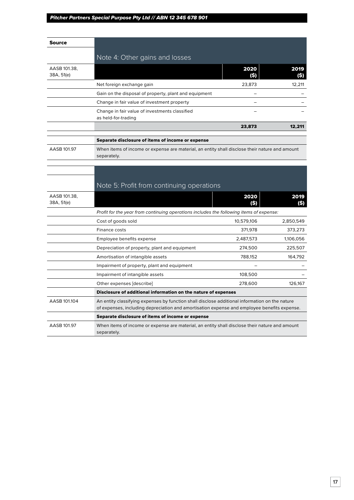| Source                     |                                                                                                                                                                                               |              |             |
|----------------------------|-----------------------------------------------------------------------------------------------------------------------------------------------------------------------------------------------|--------------|-------------|
|                            | Note 4: Other gains and losses                                                                                                                                                                |              |             |
|                            |                                                                                                                                                                                               |              |             |
| AASB 101.38,<br>38A, 51(e) |                                                                                                                                                                                               | 2020<br>(\$) | 2019<br>(S) |
|                            | Net foreign exchange gain                                                                                                                                                                     | 23,873       | 12,211      |
|                            | Gain on the disposal of property, plant and equipment                                                                                                                                         |              |             |
|                            | Change in fair value of investment property                                                                                                                                                   |              |             |
|                            | Change in fair value of investments classified<br>as held-for-trading                                                                                                                         |              |             |
|                            |                                                                                                                                                                                               | 23,873       | 12,211      |
|                            | Separate disclosure of items of income or expense                                                                                                                                             |              |             |
| AASB 101.97                | When items of income or expense are material, an entity shall disclose their nature and amount<br>separately.                                                                                 |              |             |
|                            |                                                                                                                                                                                               |              |             |
|                            |                                                                                                                                                                                               |              |             |
|                            | Note 5: Profit from continuing operations                                                                                                                                                     |              |             |
| AASB 101.38,<br>38A, 51(e) |                                                                                                                                                                                               | 2020<br>(\$) | 2019<br>(S) |
|                            | Profit for the year from continuing operations includes the following items of expense:                                                                                                       |              |             |
|                            | Cost of goods sold                                                                                                                                                                            | 10,579,106   | 2,850,549   |
|                            | Finance costs                                                                                                                                                                                 | 371,978      | 373,273     |
|                            | Employee benefits expense                                                                                                                                                                     | 2,487,573    | 1,106,056   |
|                            | Depreciation of property, plant and equipment                                                                                                                                                 | 274,500      | 225,507     |
|                            | Amortisation of intangible assets                                                                                                                                                             | 788,152      | 164,792     |
|                            | Impairment of property, plant and equipment                                                                                                                                                   |              |             |
|                            | Impairment of intangible assets                                                                                                                                                               | 108,500      |             |
|                            | Other expenses [describe]                                                                                                                                                                     | 278,600      | 126,167     |
|                            | Disclosure of additional information on the nature of expenses                                                                                                                                |              |             |
| AASB 101.104               | An entity classifying expenses by function shall disclose additional information on the nature<br>of expenses, including depreciation and amortisation expense and employee benefits expense. |              |             |
|                            | Separate disclosure of items of income or expense                                                                                                                                             |              |             |
| AASB 101.97                | When items of income or expense are material, an entity shall disclose their nature and amount<br>separately.                                                                                 |              |             |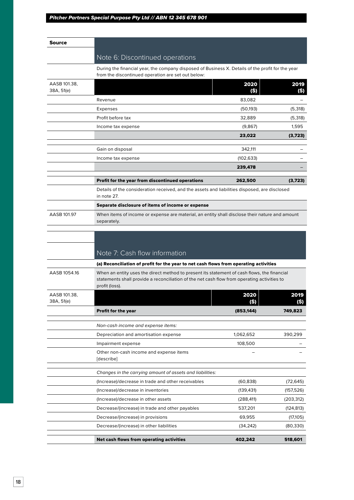| Source                     |                                                                                                                                                         |              |              |
|----------------------------|---------------------------------------------------------------------------------------------------------------------------------------------------------|--------------|--------------|
|                            |                                                                                                                                                         |              |              |
|                            | Note 6: Discontinued operations                                                                                                                         |              |              |
|                            | During the financial year, the company disposed of Business X. Details of the profit for the year<br>from the discontinued operation are set out below: |              |              |
| AASB 101.38,<br>38A, 51(e) |                                                                                                                                                         | 2020<br>(S)  | 2019<br>(S)  |
|                            | Revenue                                                                                                                                                 | 83,082       |              |
|                            | Expenses                                                                                                                                                | (50, 193)    | (5,318)      |
|                            | Profit before tax                                                                                                                                       | 32.889       | (5,318)      |
|                            | Income tax expense                                                                                                                                      | (9,867)      | 1,595        |
|                            |                                                                                                                                                         | 23,022       | (3,723)      |
|                            | Gain on disposal                                                                                                                                        | 342,111      |              |
|                            | Income tax expense                                                                                                                                      | (102, 633)   |              |
|                            |                                                                                                                                                         | 239,478      |              |
|                            | Profit for the year from discontinued operations                                                                                                        | 262,500      | (3,723)      |
|                            | Details of the consideration received, and the assets and liabilities disposed, are disclosed<br>in note 27.                                            |              |              |
|                            | Separate disclosure of items of income or expense                                                                                                       |              |              |
| AASB 101.97                | When items of income or expense are material, an entity shall disclose their nature and amount<br>separately.                                           |              |              |
|                            | Note 7: Cash flow information<br>(a) Reconciliation of profit for the year to net cash flows from operating activities                                  |              |              |
| AASB 1054.16               | When an entity uses the direct method to present its statement of cash flows, the financial                                                             |              |              |
|                            | statements shall provide a reconciliation of the net cash flow from operating activities to<br>profit (loss).                                           |              |              |
| AASB 101.38.<br>38A, 51(e) |                                                                                                                                                         | 2020<br>(\$) | 2019<br>(\$) |
|                            | Profit for the year                                                                                                                                     | (853, 144)   | 749,823      |
|                            | Non-cash income and expense items:                                                                                                                      |              |              |
|                            | Depreciation and amortisation expense                                                                                                                   | 1,062,652    | 390,299      |
|                            | Impairment expense                                                                                                                                      | 108,500      |              |
|                            | Other non-cash income and expense items<br>[describe]                                                                                                   |              |              |
|                            | Changes in the carrying amount of assets and liabilities:                                                                                               |              |              |
|                            | (Increase)/decrease in trade and other receivables                                                                                                      | (60, 838)    | (72, 645)    |
|                            | (Increase)/decrease in inventories                                                                                                                      | (139, 431)   | (157, 526)   |
|                            | (Increase)/decrease in other assets                                                                                                                     | (288, 411)   | (203, 312)   |
|                            | Decrease/(increase) in trade and other payables                                                                                                         | 537,201      | (124, 813)   |
|                            | Decrease/(increase) in provisions                                                                                                                       | 69,955       | (17, 105)    |
|                            | Decrease/(increase) in other liabilities                                                                                                                | (34,242)     | (80, 330)    |
|                            | Net cash flows from operating activities                                                                                                                | 402,242      | 518,601      |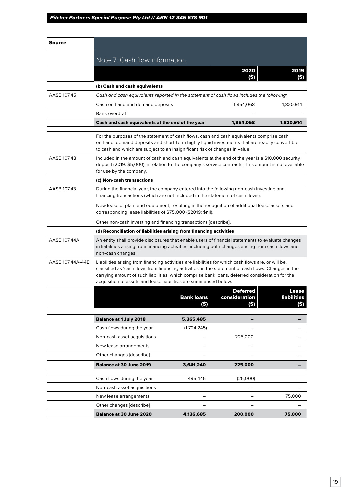| Source           |                                                                                                                                                                                                                                                                                                                                                                                   |                                                                                                                                                                                                           |                                         |                              |
|------------------|-----------------------------------------------------------------------------------------------------------------------------------------------------------------------------------------------------------------------------------------------------------------------------------------------------------------------------------------------------------------------------------|-----------------------------------------------------------------------------------------------------------------------------------------------------------------------------------------------------------|-----------------------------------------|------------------------------|
|                  | Note 7: Cash flow information                                                                                                                                                                                                                                                                                                                                                     |                                                                                                                                                                                                           |                                         |                              |
|                  |                                                                                                                                                                                                                                                                                                                                                                                   |                                                                                                                                                                                                           | 2020                                    |                              |
|                  |                                                                                                                                                                                                                                                                                                                                                                                   |                                                                                                                                                                                                           |                                         | 2019                         |
|                  | (b) Cash and cash equivalents                                                                                                                                                                                                                                                                                                                                                     |                                                                                                                                                                                                           |                                         |                              |
| AASB 107.45      | Cash and cash equivalents reported in the statement of cash flows includes the following:                                                                                                                                                                                                                                                                                         |                                                                                                                                                                                                           |                                         |                              |
|                  | Cash on hand and demand deposits                                                                                                                                                                                                                                                                                                                                                  |                                                                                                                                                                                                           | 1,854,068                               | 1,820,914                    |
|                  | Bank overdraft                                                                                                                                                                                                                                                                                                                                                                    |                                                                                                                                                                                                           |                                         |                              |
|                  | Cash and cash equivalents at the end of the year                                                                                                                                                                                                                                                                                                                                  |                                                                                                                                                                                                           | 1,854,068                               | 1,820,914                    |
|                  | For the purposes of the statement of cash flows, cash and cash equivalents comprise cash<br>on hand, demand deposits and short-term highly liquid investments that are readily convertible<br>to cash and which are subject to an insignificant risk of changes in value.                                                                                                         |                                                                                                                                                                                                           |                                         |                              |
| AASB 107.48      | for use by the company.                                                                                                                                                                                                                                                                                                                                                           | Included in the amount of cash and cash equivalents at the end of the year is a \$10,000 security<br>deposit (2019: \$5,000) in relation to the company's service contracts. This amount is not available |                                         |                              |
|                  | (c) Non-cash transactions                                                                                                                                                                                                                                                                                                                                                         |                                                                                                                                                                                                           |                                         |                              |
| AASB 107.43      | During the financial year, the company entered into the following non-cash investing and<br>financing transactions (which are not included in the statement of cash flows):                                                                                                                                                                                                       |                                                                                                                                                                                                           |                                         |                              |
|                  | New lease of plant and equipment, resulting in the recognition of additional lease assets and<br>corresponding lease liabilities of \$75,000 (\$2019: \$nil).                                                                                                                                                                                                                     |                                                                                                                                                                                                           |                                         |                              |
|                  | Other non-cash investing and financing transactions [describe].                                                                                                                                                                                                                                                                                                                   |                                                                                                                                                                                                           |                                         |                              |
|                  | (d) Reconciliation of liabilities arising from financing activities                                                                                                                                                                                                                                                                                                               |                                                                                                                                                                                                           |                                         |                              |
| AASB 107.44A     | An entity shall provide disclosures that enable users of financial statements to evaluate changes<br>in liabilities arising from financing activities, including both changes arising from cash flows and<br>non-cash changes.                                                                                                                                                    |                                                                                                                                                                                                           |                                         |                              |
| AASB 107.44A-44E | Liabilities arising from financing activities are liabilities for which cash flows are, or will be,<br>classified as 'cash flows from financing activities' in the statement of cash flows. Changes in the<br>carrying amount of such liabilities, which comprise bank loans, deferred consideration for the<br>acquisition of assets and lease liabilities are summarised below. |                                                                                                                                                                                                           |                                         |                              |
|                  |                                                                                                                                                                                                                                                                                                                                                                                   | <b>Bank loans</b><br>(\$)                                                                                                                                                                                 | <b>Deferred</b><br>consideration<br>(S) | Lease<br>liabilities<br>(\$) |
|                  | <b>Balance at 1 July 2018</b>                                                                                                                                                                                                                                                                                                                                                     | 5,365,485                                                                                                                                                                                                 |                                         |                              |
|                  | Cash flows during the year                                                                                                                                                                                                                                                                                                                                                        | (1,724,245)                                                                                                                                                                                               |                                         |                              |
|                  | Non-cash asset acquisitions                                                                                                                                                                                                                                                                                                                                                       |                                                                                                                                                                                                           | 225,000                                 |                              |
|                  | New lease arrangements                                                                                                                                                                                                                                                                                                                                                            |                                                                                                                                                                                                           |                                         |                              |
|                  | Other changes [describe]                                                                                                                                                                                                                                                                                                                                                          |                                                                                                                                                                                                           |                                         |                              |
|                  | <b>Balance at 30 June 2019</b>                                                                                                                                                                                                                                                                                                                                                    | 3,641,240                                                                                                                                                                                                 | 225,000                                 |                              |
|                  | Cash flows during the year                                                                                                                                                                                                                                                                                                                                                        | 495,445                                                                                                                                                                                                   | (25,000)                                |                              |
|                  | Non-cash asset acquisitions                                                                                                                                                                                                                                                                                                                                                       |                                                                                                                                                                                                           |                                         |                              |
|                  | New lease arrangements                                                                                                                                                                                                                                                                                                                                                            |                                                                                                                                                                                                           |                                         | 75,000                       |
|                  | Other changes [describe]                                                                                                                                                                                                                                                                                                                                                          |                                                                                                                                                                                                           |                                         |                              |
|                  | <b>Balance at 30 June 2020</b>                                                                                                                                                                                                                                                                                                                                                    | 4,136,685                                                                                                                                                                                                 | 200,000                                 | 75,000                       |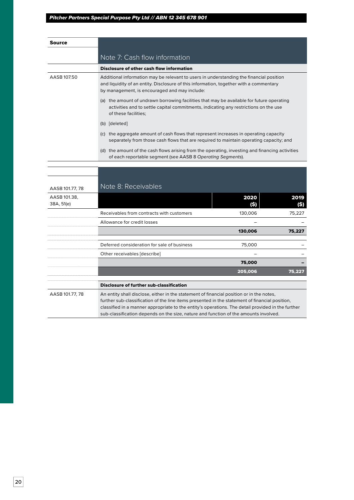| Note 7: Cash flow information<br>Disclosure of other cash flow information                                                                                                                                                         |
|------------------------------------------------------------------------------------------------------------------------------------------------------------------------------------------------------------------------------------|
|                                                                                                                                                                                                                                    |
|                                                                                                                                                                                                                                    |
| Additional information may be relevant to users in understanding the financial position<br>and liquidity of an entity. Disclosure of this information, together with a commentary<br>by management, is encouraged and may include: |
| the amount of undrawn borrowing facilities that may be available for future operating<br>activities and to settle capital commitments, indicating any restrictions on the use<br>of these facilities;                              |
| (b) [deleted]                                                                                                                                                                                                                      |
| the aggregate amount of cash flows that represent increases in operating capacity<br>separately from those cash flows that are required to maintain operating capacity; and                                                        |
| (d) the amount of the cash flows arising from the operating, investing and financing activities                                                                                                                                    |
|                                                                                                                                                                                                                                    |

| AASB 101.77, 78            | Note 8: Receivables                                                                                                                                                                                                                                                                                                                                                                     |             |             |
|----------------------------|-----------------------------------------------------------------------------------------------------------------------------------------------------------------------------------------------------------------------------------------------------------------------------------------------------------------------------------------------------------------------------------------|-------------|-------------|
| AASB 101.38,<br>38A, 51(e) |                                                                                                                                                                                                                                                                                                                                                                                         | 2020<br>(S) | 2019<br>(S) |
|                            | Receivables from contracts with customers                                                                                                                                                                                                                                                                                                                                               | 130,006     | 75,227      |
|                            | Allowance for credit losses                                                                                                                                                                                                                                                                                                                                                             |             |             |
|                            |                                                                                                                                                                                                                                                                                                                                                                                         | 130,006     | 75,227      |
|                            |                                                                                                                                                                                                                                                                                                                                                                                         |             |             |
|                            | Deferred consideration for sale of business                                                                                                                                                                                                                                                                                                                                             | 75,000      |             |
|                            | Other receivables [describe]                                                                                                                                                                                                                                                                                                                                                            |             |             |
|                            |                                                                                                                                                                                                                                                                                                                                                                                         | 75,000      |             |
|                            |                                                                                                                                                                                                                                                                                                                                                                                         | 205,006     | 75,227      |
|                            |                                                                                                                                                                                                                                                                                                                                                                                         |             |             |
|                            | <b>Disclosure of further sub-classification</b>                                                                                                                                                                                                                                                                                                                                         |             |             |
| AASB 101.77, 78            | An entity shall disclose, either in the statement of financial position or in the notes,<br>further sub-classification of the line items presented in the statement of financial position,<br>classified in a manner appropriate to the entity's operations. The detail provided in the further<br>sub-classification depends on the size, nature and function of the amounts involved. |             |             |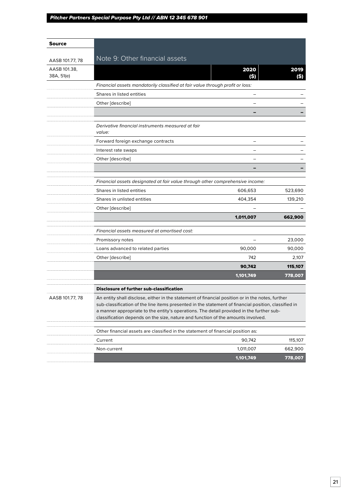| Source                     |                                                                                                                                                                                                                                                                                                                                                                                          |              |            |  |
|----------------------------|------------------------------------------------------------------------------------------------------------------------------------------------------------------------------------------------------------------------------------------------------------------------------------------------------------------------------------------------------------------------------------------|--------------|------------|--|
|                            | Note 9: Other financial assets                                                                                                                                                                                                                                                                                                                                                           |              |            |  |
| AASB 101.77, 78            |                                                                                                                                                                                                                                                                                                                                                                                          |              |            |  |
| AASB 101.38,<br>38A, 51(e) |                                                                                                                                                                                                                                                                                                                                                                                          | 2020<br>(\$) | 2019<br>9) |  |
|                            | Financial assets mandatorily classified at fair value through profit or loss:                                                                                                                                                                                                                                                                                                            |              |            |  |
|                            | Shares in listed entities                                                                                                                                                                                                                                                                                                                                                                |              |            |  |
|                            | Other [describe]                                                                                                                                                                                                                                                                                                                                                                         |              |            |  |
|                            |                                                                                                                                                                                                                                                                                                                                                                                          |              |            |  |
|                            | Derivative financial instruments measured at fair<br>value:                                                                                                                                                                                                                                                                                                                              |              |            |  |
|                            | Forward foreign exchange contracts                                                                                                                                                                                                                                                                                                                                                       |              |            |  |
|                            | Interest rate swaps                                                                                                                                                                                                                                                                                                                                                                      |              |            |  |
|                            | Other [describe]                                                                                                                                                                                                                                                                                                                                                                         |              |            |  |
|                            |                                                                                                                                                                                                                                                                                                                                                                                          |              |            |  |
|                            | Financial assets designated at fair value through other comprehensive income:                                                                                                                                                                                                                                                                                                            |              |            |  |
|                            | Shares in listed entities                                                                                                                                                                                                                                                                                                                                                                | 606,653      | 523,690    |  |
|                            | Shares in unlisted entities                                                                                                                                                                                                                                                                                                                                                              | 404,354      | 139,210    |  |
|                            | Other [describe]                                                                                                                                                                                                                                                                                                                                                                         |              |            |  |
|                            |                                                                                                                                                                                                                                                                                                                                                                                          | 1,011,007    | 662,900    |  |
|                            | Financial assets measured at amortised cost:                                                                                                                                                                                                                                                                                                                                             |              |            |  |
|                            | Promissory notes                                                                                                                                                                                                                                                                                                                                                                         |              | 23,000     |  |
|                            | Loans advanced to related parties                                                                                                                                                                                                                                                                                                                                                        | 90,000       | 90,000     |  |
|                            | Other [describe]                                                                                                                                                                                                                                                                                                                                                                         | 742          | 2,107      |  |
|                            |                                                                                                                                                                                                                                                                                                                                                                                          | 90,742       | 115,107    |  |
|                            |                                                                                                                                                                                                                                                                                                                                                                                          | 1,101,749    | 778,007    |  |
|                            | <b>Disclosure of further sub-classification</b>                                                                                                                                                                                                                                                                                                                                          |              |            |  |
| AASB 101.77, 78            | An entity shall disclose, either in the statement of financial position or in the notes, further<br>sub-classification of the line items presented in the statement of financial position, classified in<br>a manner appropriate to the entity's operations. The detail provided in the further sub-<br>classification depends on the size, nature and function of the amounts involved. |              |            |  |
|                            | Other financial assets are classified in the statement of financial position as:                                                                                                                                                                                                                                                                                                         |              |            |  |
|                            | Current                                                                                                                                                                                                                                                                                                                                                                                  | 90,742       | 115,107    |  |
|                            | Non-current                                                                                                                                                                                                                                                                                                                                                                              | 1,011,007    | 662,900    |  |
|                            |                                                                                                                                                                                                                                                                                                                                                                                          | 1,101,749    | 778,007    |  |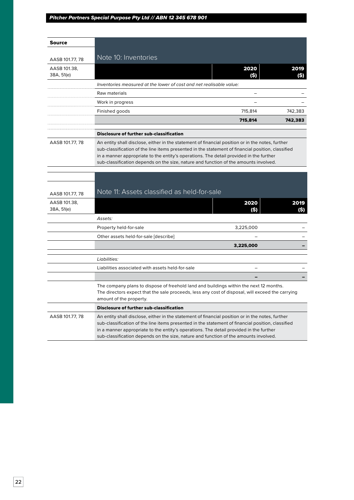| <b>Source</b>              |                                                                                                                                                                                                                                                                                                                                                                                         |             |              |
|----------------------------|-----------------------------------------------------------------------------------------------------------------------------------------------------------------------------------------------------------------------------------------------------------------------------------------------------------------------------------------------------------------------------------------|-------------|--------------|
| AASB 101.77, 78            | Note 10: Inventories                                                                                                                                                                                                                                                                                                                                                                    |             |              |
| AASB 101.38,<br>38A, 51(e) |                                                                                                                                                                                                                                                                                                                                                                                         | 2020<br>(S) | 2019<br>(S)  |
|                            | Inventories measured at the lower of cost and net realisable value:                                                                                                                                                                                                                                                                                                                     |             |              |
|                            | Raw materials                                                                                                                                                                                                                                                                                                                                                                           |             |              |
|                            | Work in progress                                                                                                                                                                                                                                                                                                                                                                        |             |              |
|                            | Finished goods                                                                                                                                                                                                                                                                                                                                                                          | 715,814     | 742,383      |
|                            |                                                                                                                                                                                                                                                                                                                                                                                         | 715,814     | 742,383      |
|                            | <b>Disclosure of further sub-classification</b>                                                                                                                                                                                                                                                                                                                                         |             |              |
| AASB 101.77, 78            | An entity shall disclose, either in the statement of financial position or in the notes, further<br>sub-classification of the line items presented in the statement of financial position, classified<br>in a manner appropriate to the entity's operations. The detail provided in the further<br>sub-classification depends on the size, nature and function of the amounts involved. |             |              |
| AASB 101.77, 78            | Note 11: Assets classified as held-for-sale                                                                                                                                                                                                                                                                                                                                             |             |              |
| AASB 101.38,<br>38A, 51(e) |                                                                                                                                                                                                                                                                                                                                                                                         | 2020<br>(S) | 2019<br>(\$) |
|                            | Assets:                                                                                                                                                                                                                                                                                                                                                                                 |             |              |
|                            | Property held-for-sale                                                                                                                                                                                                                                                                                                                                                                  | 3,225,000   |              |
|                            | Other assets held-for-sale [describe]                                                                                                                                                                                                                                                                                                                                                   |             |              |
|                            |                                                                                                                                                                                                                                                                                                                                                                                         | 3,225,000   |              |
|                            | Liabilities:                                                                                                                                                                                                                                                                                                                                                                            |             |              |
|                            | Liabilities associated with assets held-for-sale                                                                                                                                                                                                                                                                                                                                        |             |              |
|                            |                                                                                                                                                                                                                                                                                                                                                                                         |             |              |
|                            | The company plans to dispose of freehold land and buildings within the next 12 months.<br>The directors expect that the sale proceeds, less any cost of disposal, will exceed the carrying<br>amount of the property.                                                                                                                                                                   |             |              |
|                            | Disclosure of further sub-classification                                                                                                                                                                                                                                                                                                                                                |             |              |
| AASB 101.77, 78            | An entity shall disclose, either in the statement of financial position or in the notes, further<br>sub-classification of the line items presented in the statement of financial position, classified<br>in a manner appropriate to the entity's operations. The detail provided in the further<br>sub-classification depends on the size, nature and function of the amounts involved. |             |              |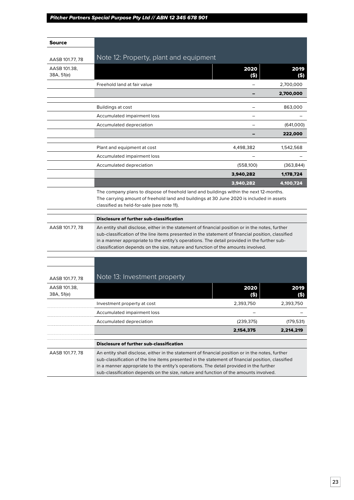| Source                          |                                                                                                                                                                                                                                                                                                                                                                                          |            |            |
|---------------------------------|------------------------------------------------------------------------------------------------------------------------------------------------------------------------------------------------------------------------------------------------------------------------------------------------------------------------------------------------------------------------------------------|------------|------------|
|                                 | Note 12: Property, plant and equipment                                                                                                                                                                                                                                                                                                                                                   |            |            |
| AASB 101.77, 78<br>AASB 101.38, |                                                                                                                                                                                                                                                                                                                                                                                          | 2020       | 2019       |
| 38A, 51(e)                      |                                                                                                                                                                                                                                                                                                                                                                                          | (\$)       | (\$)       |
|                                 | Freehold land at fair value                                                                                                                                                                                                                                                                                                                                                              |            | 2,700,000  |
|                                 |                                                                                                                                                                                                                                                                                                                                                                                          |            | 2,700,000  |
|                                 | Buildings at cost                                                                                                                                                                                                                                                                                                                                                                        |            | 863,000    |
|                                 | Accumulated impairment loss                                                                                                                                                                                                                                                                                                                                                              |            |            |
|                                 | Accumulated depreciation                                                                                                                                                                                                                                                                                                                                                                 |            | (641,000)  |
|                                 |                                                                                                                                                                                                                                                                                                                                                                                          |            | 222,000    |
|                                 | Plant and equipment at cost                                                                                                                                                                                                                                                                                                                                                              | 4,498,382  | 1,542,568  |
|                                 | Accumulated impairment loss                                                                                                                                                                                                                                                                                                                                                              |            |            |
|                                 | Accumulated depreciation                                                                                                                                                                                                                                                                                                                                                                 | (558, 100) | (363, 844) |
|                                 |                                                                                                                                                                                                                                                                                                                                                                                          | 3,940,282  | 1,178,724  |
|                                 |                                                                                                                                                                                                                                                                                                                                                                                          | 3,940,282  | 4,100,724  |
|                                 | The company plans to dispose of freehold land and buildings within the next 12-months.<br>The carrying amount of freehold land and buildings at 30 June 2020 is included in assets<br>classified as held-for-sale (see note 11).                                                                                                                                                         |            |            |
|                                 | <b>Disclosure of further sub-classification</b>                                                                                                                                                                                                                                                                                                                                          |            |            |
| AASB 101.77, 78                 | An entity shall disclose, either in the statement of financial position or in the notes, further<br>sub-classification of the line items presented in the statement of financial position, classified<br>in a manner appropriate to the entity's operations. The detail provided in the further sub-<br>classification depends on the size, nature and function of the amounts involved. |            |            |
| AASB 101.77, 78<br>AASB 101.38, | Note 13: Investment property                                                                                                                                                                                                                                                                                                                                                             | 2020       | 2019       |
| 38A, 51(e)                      |                                                                                                                                                                                                                                                                                                                                                                                          |            |            |
|                                 | Investment property at cost                                                                                                                                                                                                                                                                                                                                                              | 2,393,750  | 2,393,750  |
|                                 | Accumulated impairment loss                                                                                                                                                                                                                                                                                                                                                              |            |            |
|                                 | Accumulated depreciation                                                                                                                                                                                                                                                                                                                                                                 | (239, 375) | (179, 531) |
|                                 |                                                                                                                                                                                                                                                                                                                                                                                          | 2,154,375  | 2,214,219  |
|                                 | <b>Disclosure of further sub-classification</b>                                                                                                                                                                                                                                                                                                                                          |            |            |
| AASB 101.77, 78                 | An entity shall disclose, either in the statement of financial position or in the notes, further<br>sub-classification of the line items presented in the statement of financial position, classified<br>in a manner appropriate to the entity's operations. The detail provided in the further<br>sub-classification depends on the size, nature and function of the amounts involved.  |            |            |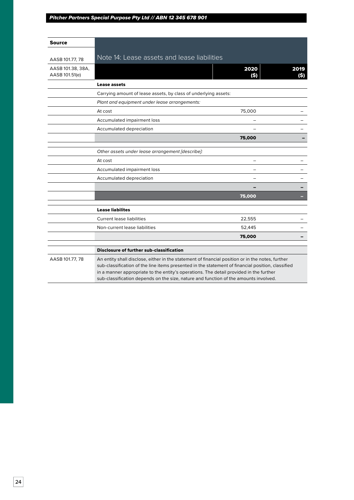| Source                              |                                                                                                                                                                                                                                                                                                                                                                                         |              |             |
|-------------------------------------|-----------------------------------------------------------------------------------------------------------------------------------------------------------------------------------------------------------------------------------------------------------------------------------------------------------------------------------------------------------------------------------------|--------------|-------------|
| AASB 101.77, 78                     | Note 14: Lease assets and lease liabilities                                                                                                                                                                                                                                                                                                                                             |              |             |
| AASB 101.38, 38A,<br>AASB 101.51(e) |                                                                                                                                                                                                                                                                                                                                                                                         | 2020<br>(\$) | 2019<br>(S) |
|                                     | <b>Lease assets</b>                                                                                                                                                                                                                                                                                                                                                                     |              |             |
|                                     | Carrying amount of lease assets, by class of underlying assets:                                                                                                                                                                                                                                                                                                                         |              |             |
|                                     | Plant and equipment under lease arrangements:                                                                                                                                                                                                                                                                                                                                           |              |             |
|                                     | At cost                                                                                                                                                                                                                                                                                                                                                                                 | 75,000       |             |
|                                     | Accumulated impairment loss                                                                                                                                                                                                                                                                                                                                                             |              |             |
|                                     | Accumulated depreciation                                                                                                                                                                                                                                                                                                                                                                |              |             |
|                                     |                                                                                                                                                                                                                                                                                                                                                                                         | 75,000       |             |
|                                     | Other assets under lease arrangement [describe]:                                                                                                                                                                                                                                                                                                                                        |              |             |
|                                     | At cost                                                                                                                                                                                                                                                                                                                                                                                 |              |             |
|                                     | Accumulated impairment loss                                                                                                                                                                                                                                                                                                                                                             |              |             |
|                                     | Accumulated depreciation                                                                                                                                                                                                                                                                                                                                                                |              |             |
|                                     |                                                                                                                                                                                                                                                                                                                                                                                         |              |             |
|                                     |                                                                                                                                                                                                                                                                                                                                                                                         | 75,000       |             |
|                                     | <b>Lease liabilites</b>                                                                                                                                                                                                                                                                                                                                                                 |              |             |
|                                     | <b>Current lease liabilities</b>                                                                                                                                                                                                                                                                                                                                                        | 22,555       |             |
|                                     | Non-current lease liabilities                                                                                                                                                                                                                                                                                                                                                           | 52,445       |             |
|                                     |                                                                                                                                                                                                                                                                                                                                                                                         | 75,000       |             |
|                                     | <b>Disclosure of further sub-classification</b>                                                                                                                                                                                                                                                                                                                                         |              |             |
| AASB 101.77, 78                     | An entity shall disclose, either in the statement of financial position or in the notes, further<br>sub-classification of the line items presented in the statement of financial position, classified<br>in a manner appropriate to the entity's operations. The detail provided in the further<br>sub-classification depends on the size, nature and function of the amounts involved. |              |             |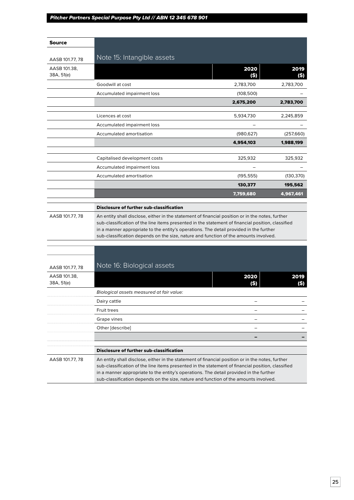| Source                     |                                                                                                                                                                                                                                                                                                                                                                                         |              |              |
|----------------------------|-----------------------------------------------------------------------------------------------------------------------------------------------------------------------------------------------------------------------------------------------------------------------------------------------------------------------------------------------------------------------------------------|--------------|--------------|
|                            | Note 15: Intangible assets                                                                                                                                                                                                                                                                                                                                                              |              |              |
| AASB 101.77, 78            |                                                                                                                                                                                                                                                                                                                                                                                         | 2020         | 2019         |
| AASB 101.38,<br>38A, 51(e) |                                                                                                                                                                                                                                                                                                                                                                                         | (\$)         | (\$)         |
|                            | Goodwill at cost                                                                                                                                                                                                                                                                                                                                                                        | 2,783,700    | 2,783,700    |
|                            | Accumulated impairment loss                                                                                                                                                                                                                                                                                                                                                             | (108, 500)   |              |
|                            |                                                                                                                                                                                                                                                                                                                                                                                         | 2,675,200    | 2,783,700    |
|                            | Licences at cost                                                                                                                                                                                                                                                                                                                                                                        | 5,934,730    | 2,245,859    |
|                            | Accumulated impairment loss                                                                                                                                                                                                                                                                                                                                                             |              |              |
|                            | Accumulated amortisation                                                                                                                                                                                                                                                                                                                                                                | (980, 627)   | (257,660)    |
|                            |                                                                                                                                                                                                                                                                                                                                                                                         | 4,954,103    | 1,988,199    |
|                            |                                                                                                                                                                                                                                                                                                                                                                                         |              |              |
|                            | Capitalised development costs                                                                                                                                                                                                                                                                                                                                                           | 325,932      | 325,932      |
|                            | Accumulated impairment loss                                                                                                                                                                                                                                                                                                                                                             |              |              |
|                            | Accumulated amortisation                                                                                                                                                                                                                                                                                                                                                                | (195, 555)   | (130, 370)   |
|                            |                                                                                                                                                                                                                                                                                                                                                                                         | 130,377      | 195,562      |
|                            |                                                                                                                                                                                                                                                                                                                                                                                         | 7,759,680    | 4,967,461    |
|                            | <b>Disclosure of further sub-classification</b>                                                                                                                                                                                                                                                                                                                                         |              |              |
| AASB 101.77, 78            | An entity shall disclose, either in the statement of financial position or in the notes, further<br>sub-classification of the line items presented in the statement of financial position, classified<br>in a manner appropriate to the entity's operations. The detail provided in the further<br>sub-classification depends on the size, nature and function of the amounts involved. |              |              |
|                            |                                                                                                                                                                                                                                                                                                                                                                                         |              |              |
|                            |                                                                                                                                                                                                                                                                                                                                                                                         |              |              |
| AASB 101.77, 78            | Note 16: Biological assets                                                                                                                                                                                                                                                                                                                                                              |              |              |
| AASB 101.38,<br>38A, 51(e) |                                                                                                                                                                                                                                                                                                                                                                                         | 2020<br>(\$) | 2019<br>(\$) |
|                            | Biological assets measured at fair value:                                                                                                                                                                                                                                                                                                                                               |              |              |
|                            | Dairy cattle                                                                                                                                                                                                                                                                                                                                                                            |              |              |
|                            | <b>Fruit trees</b>                                                                                                                                                                                                                                                                                                                                                                      |              |              |
|                            | Grape vines                                                                                                                                                                                                                                                                                                                                                                             |              |              |
|                            | Other [describe]                                                                                                                                                                                                                                                                                                                                                                        |              |              |
|                            |                                                                                                                                                                                                                                                                                                                                                                                         |              |              |
|                            | <b>Disclosure of further sub-classification</b>                                                                                                                                                                                                                                                                                                                                         |              |              |
| AASB 101.77, 78            | An entity shall disclose, either in the statement of financial position or in the notes, further<br>sub-classification of the line items presented in the statement of financial position, classified<br>in a manner appropriate to the entity's operations. The detail provided in the further<br>sub-classification depends on the size, nature and function of the amounts involved. |              |              |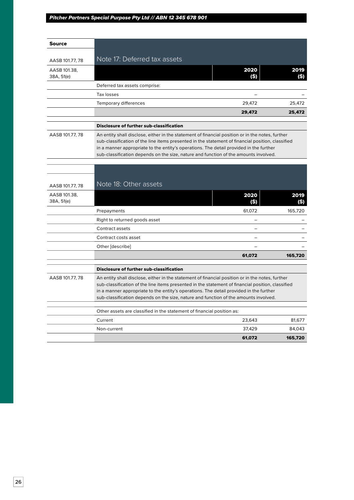| Source                     |                                                                                                                                                                                                                                                                                                                                                                                         |                  |             |
|----------------------------|-----------------------------------------------------------------------------------------------------------------------------------------------------------------------------------------------------------------------------------------------------------------------------------------------------------------------------------------------------------------------------------------|------------------|-------------|
|                            |                                                                                                                                                                                                                                                                                                                                                                                         |                  |             |
| AASB 101.77, 78            | Note 17: Deferred tax assets                                                                                                                                                                                                                                                                                                                                                            |                  |             |
| AASB 101.38,<br>38A, 51(e) |                                                                                                                                                                                                                                                                                                                                                                                         | 2020<br>(S)      | 2019<br>(S) |
|                            | Deferred tax assets comprise:                                                                                                                                                                                                                                                                                                                                                           |                  |             |
|                            | Tax losses                                                                                                                                                                                                                                                                                                                                                                              |                  |             |
|                            | Temporary differences                                                                                                                                                                                                                                                                                                                                                                   | 29,472           | 25.472      |
|                            |                                                                                                                                                                                                                                                                                                                                                                                         | 29,472           | 25,472      |
|                            | <b>Disclosure of further sub-classification</b>                                                                                                                                                                                                                                                                                                                                         |                  |             |
| AASB 101.77, 78            | An entity shall disclose, either in the statement of financial position or in the notes, further<br>sub-classification of the line items presented in the statement of financial position, classified<br>in a manner appropriate to the entity's operations. The detail provided in the further<br>sub-classification depends on the size, nature and function of the amounts involved. |                  |             |
|                            |                                                                                                                                                                                                                                                                                                                                                                                         |                  |             |
|                            |                                                                                                                                                                                                                                                                                                                                                                                         |                  |             |
| AASB 101.77, 78            | Note 18: Other assets                                                                                                                                                                                                                                                                                                                                                                   |                  |             |
| AASB 101.38,<br>38A, 51(e) |                                                                                                                                                                                                                                                                                                                                                                                         | 2020<br>(\$)     | 2019<br>(S) |
|                            | Prepayments                                                                                                                                                                                                                                                                                                                                                                             | 61,072           | 165,720     |
|                            | Right to returned goods asset                                                                                                                                                                                                                                                                                                                                                           |                  |             |
|                            | Contract assets                                                                                                                                                                                                                                                                                                                                                                         |                  |             |
|                            | Contract costs asset                                                                                                                                                                                                                                                                                                                                                                    |                  |             |
|                            | Other [describe]                                                                                                                                                                                                                                                                                                                                                                        |                  |             |
|                            |                                                                                                                                                                                                                                                                                                                                                                                         | 61,072           | 165,720     |
|                            | <b>Disclosure of further sub-classification</b>                                                                                                                                                                                                                                                                                                                                         |                  |             |
| AASB 101.77, 78            | An entity shall disclose, either in the statement of financial position or in the notes, further<br>sub-classification of the line items presented in the statement of financial position, classified<br>in a manner appropriate to the entity's operations. The detail provided in the further<br>sub-classification depends on the size, nature and function of the amounts involved. |                  |             |
|                            |                                                                                                                                                                                                                                                                                                                                                                                         |                  |             |
|                            | Other assets are classified in the statement of financial position as:                                                                                                                                                                                                                                                                                                                  |                  |             |
|                            | Current<br>Non-current                                                                                                                                                                                                                                                                                                                                                                  | 23,643<br>37.429 | 81,677      |
|                            |                                                                                                                                                                                                                                                                                                                                                                                         |                  | 84,043      |
|                            |                                                                                                                                                                                                                                                                                                                                                                                         | 61,072           | 165,720     |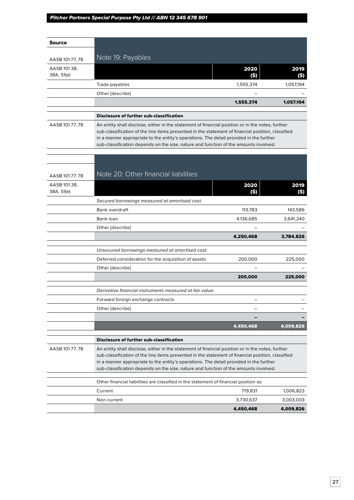| <b>Source</b>              |                                                                                                                                                                                                                                                                                                                                                                                         |             |             |
|----------------------------|-----------------------------------------------------------------------------------------------------------------------------------------------------------------------------------------------------------------------------------------------------------------------------------------------------------------------------------------------------------------------------------------|-------------|-------------|
| AASB 101.77, 78            | Note 19: Payables                                                                                                                                                                                                                                                                                                                                                                       |             |             |
| AASB 101.38,               |                                                                                                                                                                                                                                                                                                                                                                                         | 2020        | 2019        |
| 38A, 51(e)                 |                                                                                                                                                                                                                                                                                                                                                                                         | (S)         | (\$)        |
|                            | Trade payables                                                                                                                                                                                                                                                                                                                                                                          | 1,555,374   | 1,057,194   |
|                            | Other [describe]                                                                                                                                                                                                                                                                                                                                                                        |             |             |
|                            |                                                                                                                                                                                                                                                                                                                                                                                         | 1,555,374   | 1,057,194   |
|                            | <b>Disclosure of further sub-classification</b>                                                                                                                                                                                                                                                                                                                                         |             |             |
| AASB 101.77, 78            | An entity shall disclose, either in the statement of financial position or in the notes, further<br>sub-classification of the line items presented in the statement of financial position, classified<br>in a manner appropriate to the entity's operations. The detail provided in the further<br>sub-classification depends on the size, nature and function of the amounts involved. |             |             |
|                            |                                                                                                                                                                                                                                                                                                                                                                                         |             |             |
|                            |                                                                                                                                                                                                                                                                                                                                                                                         |             |             |
| AASB 101.77, 78            | Note 20: Other financial liabilities                                                                                                                                                                                                                                                                                                                                                    |             |             |
| AASB 101.38,<br>38A, 51(e) |                                                                                                                                                                                                                                                                                                                                                                                         | 2020<br>(S) | 2019<br>(S) |
|                            | Secured borrowings measured at amortised cost:                                                                                                                                                                                                                                                                                                                                          |             |             |
|                            | <b>Bank overdraft</b>                                                                                                                                                                                                                                                                                                                                                                   | 113,783     | 143,586     |
|                            | Bank loan                                                                                                                                                                                                                                                                                                                                                                               | 4,136,685   | 3,641,240   |
|                            | Other [describe]                                                                                                                                                                                                                                                                                                                                                                        |             |             |
|                            |                                                                                                                                                                                                                                                                                                                                                                                         | 4,250,468   | 3,784,826   |
|                            | Unsecured borrowings measured at amortised cost:                                                                                                                                                                                                                                                                                                                                        |             |             |
|                            | Deferred consideration for the acquisition of assets                                                                                                                                                                                                                                                                                                                                    | 200,000     | 225,000     |
|                            | Other [describe]                                                                                                                                                                                                                                                                                                                                                                        |             |             |
|                            |                                                                                                                                                                                                                                                                                                                                                                                         | 200,000     | 225,000     |
|                            | Derivative financial instruments measured at fair value:                                                                                                                                                                                                                                                                                                                                |             |             |
|                            | Forward foreign exchange contracts                                                                                                                                                                                                                                                                                                                                                      |             |             |
|                            | Other [describe]                                                                                                                                                                                                                                                                                                                                                                        |             |             |
|                            |                                                                                                                                                                                                                                                                                                                                                                                         |             |             |
|                            |                                                                                                                                                                                                                                                                                                                                                                                         | 4,450,468   | 4,009,826   |
|                            | <b>Disclosure of further sub-classification</b>                                                                                                                                                                                                                                                                                                                                         |             |             |
| AASB 101.77, 78            | An entity shall disclose, either in the statement of financial position or in the notes, further<br>sub-classification of the line items presented in the statement of financial position, classified<br>in a manner appropriate to the entity's operations. The detail provided in the further<br>sub-classification depends on the size, nature and function of the amounts involved. |             |             |
|                            | Other financial liabilities are classified in the statement of financial position as:                                                                                                                                                                                                                                                                                                   |             |             |
|                            | Current                                                                                                                                                                                                                                                                                                                                                                                 | 719,831     | 1,006,823   |
|                            | Non-current                                                                                                                                                                                                                                                                                                                                                                             | 3,730,637   | 3,003,003   |
|                            |                                                                                                                                                                                                                                                                                                                                                                                         | 4,450,468   | 4,009,826   |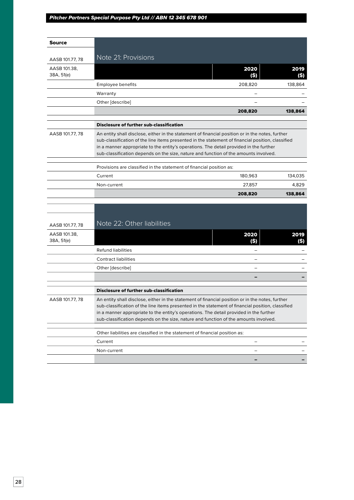| Source                     |                                                                                                                                                                                                                                                                                                                                                                                         |                                                                                                                                                                                                                                                                                                                                                                                         |              |  |
|----------------------------|-----------------------------------------------------------------------------------------------------------------------------------------------------------------------------------------------------------------------------------------------------------------------------------------------------------------------------------------------------------------------------------------|-----------------------------------------------------------------------------------------------------------------------------------------------------------------------------------------------------------------------------------------------------------------------------------------------------------------------------------------------------------------------------------------|--------------|--|
|                            |                                                                                                                                                                                                                                                                                                                                                                                         |                                                                                                                                                                                                                                                                                                                                                                                         |              |  |
| AASB 101.77, 78            | Note 21: Provisions                                                                                                                                                                                                                                                                                                                                                                     |                                                                                                                                                                                                                                                                                                                                                                                         |              |  |
| AASB 101.38,<br>38A, 51(e) |                                                                                                                                                                                                                                                                                                                                                                                         | 2020<br>(\$)                                                                                                                                                                                                                                                                                                                                                                            | 2019<br>(\$) |  |
|                            | Employee benefits                                                                                                                                                                                                                                                                                                                                                                       | 208,820                                                                                                                                                                                                                                                                                                                                                                                 | 138,864      |  |
|                            | Warranty                                                                                                                                                                                                                                                                                                                                                                                |                                                                                                                                                                                                                                                                                                                                                                                         |              |  |
|                            | Other [describe]                                                                                                                                                                                                                                                                                                                                                                        |                                                                                                                                                                                                                                                                                                                                                                                         |              |  |
|                            |                                                                                                                                                                                                                                                                                                                                                                                         | 208,820                                                                                                                                                                                                                                                                                                                                                                                 | 138,864      |  |
|                            | Disclosure of further sub-classification                                                                                                                                                                                                                                                                                                                                                |                                                                                                                                                                                                                                                                                                                                                                                         |              |  |
| AASB 101.77, 78            |                                                                                                                                                                                                                                                                                                                                                                                         |                                                                                                                                                                                                                                                                                                                                                                                         |              |  |
|                            |                                                                                                                                                                                                                                                                                                                                                                                         | An entity shall disclose, either in the statement of financial position or in the notes, further<br>sub-classification of the line items presented in the statement of financial position, classified<br>in a manner appropriate to the entity's operations. The detail provided in the further<br>sub-classification depends on the size, nature and function of the amounts involved. |              |  |
|                            | Provisions are classified in the statement of financial position as:                                                                                                                                                                                                                                                                                                                    |                                                                                                                                                                                                                                                                                                                                                                                         |              |  |
|                            | Current                                                                                                                                                                                                                                                                                                                                                                                 | 180,963                                                                                                                                                                                                                                                                                                                                                                                 | 134,035      |  |
|                            | Non-current                                                                                                                                                                                                                                                                                                                                                                             | 27,857                                                                                                                                                                                                                                                                                                                                                                                  | 4,829        |  |
|                            |                                                                                                                                                                                                                                                                                                                                                                                         | 208,820                                                                                                                                                                                                                                                                                                                                                                                 | 138,864      |  |
|                            |                                                                                                                                                                                                                                                                                                                                                                                         |                                                                                                                                                                                                                                                                                                                                                                                         |              |  |
|                            |                                                                                                                                                                                                                                                                                                                                                                                         |                                                                                                                                                                                                                                                                                                                                                                                         |              |  |
| AASB 101.77, 78            | Note 22: Other liabilities                                                                                                                                                                                                                                                                                                                                                              |                                                                                                                                                                                                                                                                                                                                                                                         |              |  |
| AASB 101.38,<br>38A, 51(e) |                                                                                                                                                                                                                                                                                                                                                                                         | 2020<br>(\$)                                                                                                                                                                                                                                                                                                                                                                            | 2019<br>(\$) |  |
|                            | <b>Refund liabilities</b>                                                                                                                                                                                                                                                                                                                                                               |                                                                                                                                                                                                                                                                                                                                                                                         |              |  |
|                            | <b>Contract liabilities</b>                                                                                                                                                                                                                                                                                                                                                             |                                                                                                                                                                                                                                                                                                                                                                                         |              |  |
|                            | Other [describe]                                                                                                                                                                                                                                                                                                                                                                        |                                                                                                                                                                                                                                                                                                                                                                                         |              |  |
|                            |                                                                                                                                                                                                                                                                                                                                                                                         |                                                                                                                                                                                                                                                                                                                                                                                         |              |  |
|                            | <b>Disclosure of further sub-classification</b>                                                                                                                                                                                                                                                                                                                                         |                                                                                                                                                                                                                                                                                                                                                                                         |              |  |
| AASB 101.77, 78            | An entity shall disclose, either in the statement of financial position or in the notes, further<br>sub-classification of the line items presented in the statement of financial position, classified<br>in a manner appropriate to the entity's operations. The detail provided in the further<br>sub-classification depends on the size, nature and function of the amounts involved. |                                                                                                                                                                                                                                                                                                                                                                                         |              |  |
|                            | Other liabilities are classified in the statement of financial position as:                                                                                                                                                                                                                                                                                                             |                                                                                                                                                                                                                                                                                                                                                                                         |              |  |
|                            | Current                                                                                                                                                                                                                                                                                                                                                                                 |                                                                                                                                                                                                                                                                                                                                                                                         |              |  |
|                            | Non-current                                                                                                                                                                                                                                                                                                                                                                             | -                                                                                                                                                                                                                                                                                                                                                                                       |              |  |
|                            |                                                                                                                                                                                                                                                                                                                                                                                         |                                                                                                                                                                                                                                                                                                                                                                                         |              |  |
|                            |                                                                                                                                                                                                                                                                                                                                                                                         |                                                                                                                                                                                                                                                                                                                                                                                         |              |  |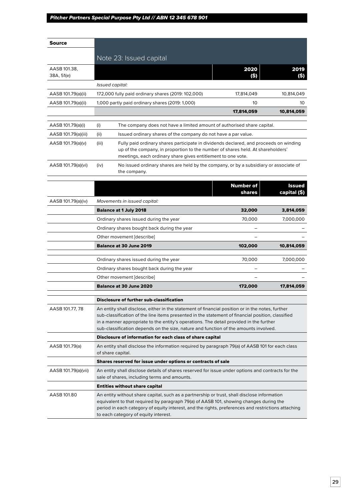| <b>Source</b>              |                                                                                                                                                                                                                                                                                                                                                                                         |                  |               |
|----------------------------|-----------------------------------------------------------------------------------------------------------------------------------------------------------------------------------------------------------------------------------------------------------------------------------------------------------------------------------------------------------------------------------------|------------------|---------------|
|                            |                                                                                                                                                                                                                                                                                                                                                                                         |                  |               |
|                            | Note 23: Issued capital                                                                                                                                                                                                                                                                                                                                                                 |                  |               |
| AASB 101.38,<br>38A, 51(e) |                                                                                                                                                                                                                                                                                                                                                                                         | 2020<br>(\$)     | 2019<br>(S)   |
|                            | Issued capital:                                                                                                                                                                                                                                                                                                                                                                         |                  |               |
| AASB 101.79(a)(ii)         | 172,000 fully paid ordinary shares (2019: 102,000)                                                                                                                                                                                                                                                                                                                                      | 17,814,049       | 10,814,049    |
| AASB 101.79(a)(ii)         | 1,000 partly paid ordinary shares (2019: 1,000)                                                                                                                                                                                                                                                                                                                                         | 10               | 10            |
|                            |                                                                                                                                                                                                                                                                                                                                                                                         | 17,814,059       | 10,814,059    |
| AASB 101.79(a)(i)          | (i)<br>The company does not have a limited amount of authorised share capital.                                                                                                                                                                                                                                                                                                          |                  |               |
| AASB 101.79(a)(iii)        | Issued ordinary shares of the company do not have a par value.<br>(ii)                                                                                                                                                                                                                                                                                                                  |                  |               |
| AASB 101.79(a)(v)          | (iii)<br>Fully paid ordinary shares participate in dividends declared, and proceeds on winding<br>up of the company, in proportion to the number of shares held. At shareholders'<br>meetings, each ordinary share gives entitlement to one vote.                                                                                                                                       |                  |               |
| AASB 101.79(a)(vi)         | (iv)<br>No issued ordinary shares are held by the company, or by a subsidiary or associate of<br>the company.                                                                                                                                                                                                                                                                           |                  |               |
|                            |                                                                                                                                                                                                                                                                                                                                                                                         | <b>Number of</b> | <b>Issued</b> |
|                            |                                                                                                                                                                                                                                                                                                                                                                                         | shares           | capital (\$)  |
| AASB 101.79(a)(iv)         | Movements in issued capital:                                                                                                                                                                                                                                                                                                                                                            |                  |               |
|                            | <b>Balance at 1 July 2018</b>                                                                                                                                                                                                                                                                                                                                                           | 32,000           | 3,814,059     |
|                            | Ordinary shares issued during the year                                                                                                                                                                                                                                                                                                                                                  | 70,000           | 7,000,000     |
|                            | Ordinary shares bought back during the year                                                                                                                                                                                                                                                                                                                                             |                  |               |
|                            | Other movement [describe]                                                                                                                                                                                                                                                                                                                                                               |                  |               |
|                            | <b>Balance at 30 June 2019</b>                                                                                                                                                                                                                                                                                                                                                          | 102,000          | 10,814,059    |
|                            | Ordinary shares issued during the year                                                                                                                                                                                                                                                                                                                                                  | 70,000           | 7,000,000     |
|                            | Ordinary shares bought back during the year                                                                                                                                                                                                                                                                                                                                             |                  |               |
|                            | Other movement [describe]                                                                                                                                                                                                                                                                                                                                                               |                  |               |
|                            | <b>Balance at 30 June 2020</b>                                                                                                                                                                                                                                                                                                                                                          | 172,000          | 17,814,059    |
|                            | Disclosure of further sub-classification                                                                                                                                                                                                                                                                                                                                                |                  |               |
| AASB 101.77, 78            | An entity shall disclose, either in the statement of financial position or in the notes, further<br>sub-classification of the line items presented in the statement of financial position, classified<br>in a manner appropriate to the entity's operations. The detail provided in the further<br>sub-classification depends on the size, nature and function of the amounts involved. |                  |               |
|                            | Disclosure of information for each class of share capital                                                                                                                                                                                                                                                                                                                               |                  |               |
| AASB 101.79(a)             | An entity shall disclose the information required by paragraph 79(a) of AASB 101 for each class<br>of share capital.                                                                                                                                                                                                                                                                    |                  |               |
|                            | Shares reserved for issue under options or contracts of sale                                                                                                                                                                                                                                                                                                                            |                  |               |
| AASB 101.79(a)(vii)        | An entity shall disclose details of shares reserved for issue under options and contracts for the<br>sale of shares, including terms and amounts.                                                                                                                                                                                                                                       |                  |               |
|                            | <b>Entities without share capital</b>                                                                                                                                                                                                                                                                                                                                                   |                  |               |
| AASB 101.80                | An entity without share capital, such as a partnership or trust, shall disclose information<br>equivalent to that required by paragraph 79(a) of AASB 101, showing changes during the<br>period in each category of equity interest, and the rights, preferences and restrictions attaching<br>to each category of equity interest.                                                     |                  |               |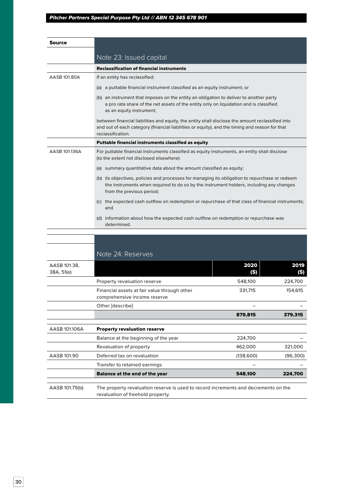| Source                     |                                                                                                                                                                                                                         |              |              |
|----------------------------|-------------------------------------------------------------------------------------------------------------------------------------------------------------------------------------------------------------------------|--------------|--------------|
|                            |                                                                                                                                                                                                                         |              |              |
|                            | Note 23: Issued capital                                                                                                                                                                                                 |              |              |
|                            | <b>Reclassification of financial instruments</b>                                                                                                                                                                        |              |              |
| AASB 101.80A               | If an entity has reclassified:                                                                                                                                                                                          |              |              |
|                            | (a) a puttable financial instrument classified as an equity instrument; or                                                                                                                                              |              |              |
|                            | (b) an instrument that imposes on the entity an obligation to deliver to another party<br>a pro rata share of the net assets of the entity only on liquidation and is classified<br>as an equity instrument;            |              |              |
|                            | between financial liabilities and equity, the entity shall disclose the amount reclassified into<br>and out of each category (financial liabilities or equity), and the timing and reason for that<br>reclassification. |              |              |
|                            | Puttable financial instruments classified as equity                                                                                                                                                                     |              |              |
| AASB 101.136A              | For puttable financial instruments classified as equity instruments, an entity shall disclose<br>(to the extent not disclosed elsewhere):                                                                               |              |              |
|                            | (a) summary quantitative data about the amount classified as equity;                                                                                                                                                    |              |              |
|                            | (b) its objectives, policies and processes for managing its obligation to repurchase or redeem<br>the instruments when required to do so by the instrument holders, including any changes<br>from the previous period;  |              |              |
|                            | (c) the expected cash outflow on redemption or repurchase of that class of financial instruments;<br>and                                                                                                                |              |              |
|                            | (d) information about how the expected cash outflow on redemption or repurchase was<br>determined.                                                                                                                      |              |              |
|                            |                                                                                                                                                                                                                         |              |              |
|                            |                                                                                                                                                                                                                         |              |              |
|                            | Note 24: Reserves                                                                                                                                                                                                       |              |              |
| AASB 101.38,<br>38A, 51(e) |                                                                                                                                                                                                                         | 2020<br>(\$) | 2019<br>(\$) |
|                            | Property revaluation reserve                                                                                                                                                                                            | 548,100      | 224,700      |
|                            | Financial assets at fair value through other<br>comprehensive income reserve                                                                                                                                            | 331,715      | 154,615      |
|                            | Other [describe]                                                                                                                                                                                                        |              |              |
|                            |                                                                                                                                                                                                                         | 879,815      | 379,315      |
| AASB 101.106A              | <b>Property revaluation reserve</b>                                                                                                                                                                                     |              |              |
|                            | Balance at the beginning of the year                                                                                                                                                                                    | 224,700      |              |
|                            | Revaluation of property                                                                                                                                                                                                 | 462,000      | 321,000      |
| AASB 101.90                | Deferred tax on revaluation                                                                                                                                                                                             | (138,600)    | (96, 300)    |
|                            | Transfer to retained earnings                                                                                                                                                                                           |              |              |
|                            | Balance at the end of the year                                                                                                                                                                                          | 548,100      | 224,700      |

AASB 101.79(b) The property revaluation reserve is used to record increments and decrements on the revaluation of freehold property.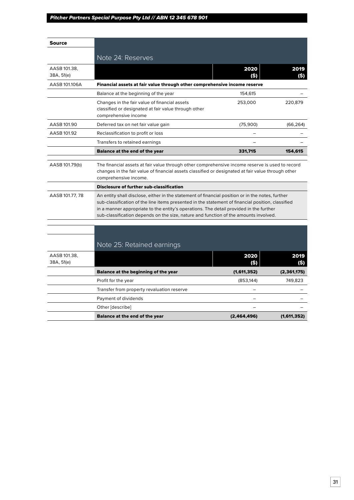| Source                     |                                                                                                                                                                                                                                                                                                                                                                                                                                                                                                                                                                           |             |              |
|----------------------------|---------------------------------------------------------------------------------------------------------------------------------------------------------------------------------------------------------------------------------------------------------------------------------------------------------------------------------------------------------------------------------------------------------------------------------------------------------------------------------------------------------------------------------------------------------------------------|-------------|--------------|
|                            | Note 24: Reserves                                                                                                                                                                                                                                                                                                                                                                                                                                                                                                                                                         |             |              |
|                            |                                                                                                                                                                                                                                                                                                                                                                                                                                                                                                                                                                           |             |              |
| AASB 101.38,<br>38A, 51(e) |                                                                                                                                                                                                                                                                                                                                                                                                                                                                                                                                                                           | 2020<br>(S) | 2019<br>(S)  |
| AASB 101.106A              | Financial assets at fair value through other comprehensive income reserve                                                                                                                                                                                                                                                                                                                                                                                                                                                                                                 |             |              |
|                            | Balance at the beginning of the year                                                                                                                                                                                                                                                                                                                                                                                                                                                                                                                                      | 154,615     |              |
|                            | Changes in the fair value of financial assets<br>classified or designated at fair value through other<br>comprehensive income                                                                                                                                                                                                                                                                                                                                                                                                                                             | 253,000     | 220,879      |
| AASB 101.90                | Deferred tax on net fair value gain                                                                                                                                                                                                                                                                                                                                                                                                                                                                                                                                       | (75,900)    | (66, 264)    |
| AASB 101.92                | Reclassification to profit or loss                                                                                                                                                                                                                                                                                                                                                                                                                                                                                                                                        |             |              |
|                            | Transfers to retained earnings                                                                                                                                                                                                                                                                                                                                                                                                                                                                                                                                            |             |              |
|                            | <b>Balance at the end of the year</b>                                                                                                                                                                                                                                                                                                                                                                                                                                                                                                                                     | 331,715     | 154,615      |
| AASB 101.77, 78            | changes in the fair value of financial assets classified or designated at fair value through other<br>comprehensive income.<br><b>Disclosure of further sub-classification</b><br>An entity shall disclose, either in the statement of financial position or in the notes, further<br>sub-classification of the line items presented in the statement of financial position, classified<br>in a manner appropriate to the entity's operations. The detail provided in the further<br>sub-classification depends on the size, nature and function of the amounts involved. |             |              |
|                            |                                                                                                                                                                                                                                                                                                                                                                                                                                                                                                                                                                           |             |              |
|                            | Note 25: Retained earnings                                                                                                                                                                                                                                                                                                                                                                                                                                                                                                                                                |             |              |
| AASB 101.38,<br>38A, 51(e) |                                                                                                                                                                                                                                                                                                                                                                                                                                                                                                                                                                           | 2020<br>(5) | 2019<br>(\$) |
|                            | <b>Balance at the beginning of the year</b>                                                                                                                                                                                                                                                                                                                                                                                                                                                                                                                               | (1,611,352) | (2,361,175)  |
|                            | Profit for the year                                                                                                                                                                                                                                                                                                                                                                                                                                                                                                                                                       | (853, 144)  | 749,823      |
|                            | Transfer from property revaluation reserve                                                                                                                                                                                                                                                                                                                                                                                                                                                                                                                                |             |              |
|                            | Payment of dividends                                                                                                                                                                                                                                                                                                                                                                                                                                                                                                                                                      |             |              |
|                            | Other [describe]                                                                                                                                                                                                                                                                                                                                                                                                                                                                                                                                                          |             |              |
|                            | <b>Balance at the end of the year</b>                                                                                                                                                                                                                                                                                                                                                                                                                                                                                                                                     | (2,464,496) | (1,611,352)  |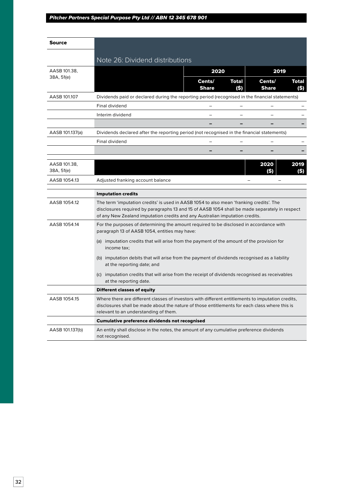| Source                     |                                                                                                                                                                                                                                                                          |                        |               |                          |              |
|----------------------------|--------------------------------------------------------------------------------------------------------------------------------------------------------------------------------------------------------------------------------------------------------------------------|------------------------|---------------|--------------------------|--------------|
|                            | Note 26: Dividend distributions                                                                                                                                                                                                                                          |                        |               |                          |              |
| AASB 101.38.               |                                                                                                                                                                                                                                                                          | 2020                   |               | 2019                     |              |
| 38A, 51(e)                 |                                                                                                                                                                                                                                                                          | Cents/<br><b>Share</b> | Total<br>(\$) | Cents/<br><b>Share</b>   | Total<br>(5) |
| AASB 101.107               | Dividends paid or declared during the reporting period (recognised in the financial statements)                                                                                                                                                                          |                        |               |                          |              |
|                            | Final dividend                                                                                                                                                                                                                                                           |                        |               |                          |              |
|                            | Interim dividend                                                                                                                                                                                                                                                         | $\equiv$               |               | $\overline{\phantom{0}}$ |              |
|                            |                                                                                                                                                                                                                                                                          |                        |               |                          |              |
| AASB 101.137(a)            | Dividends declared after the reporting period (not recognised in the financial statements)                                                                                                                                                                               |                        |               |                          |              |
|                            | Final dividend                                                                                                                                                                                                                                                           | $=$                    |               |                          |              |
|                            |                                                                                                                                                                                                                                                                          |                        |               |                          |              |
| AASB 101.38,<br>38A, 51(e) |                                                                                                                                                                                                                                                                          |                        |               | 2020<br>(S)              | 2019<br>(\$) |
| AASB 1054.13               | Adjusted franking account balance                                                                                                                                                                                                                                        |                        |               |                          |              |
|                            | <b>Imputation credits</b>                                                                                                                                                                                                                                                |                        |               |                          |              |
| AASB 1054.12               | The term 'imputation credits' is used in AASB 1054 to also mean 'franking credits'. The<br>disclosures required by paragraphs 13 and 15 of AASB 1054 shall be made separately in respect<br>of any New Zealand imputation credits and any Australian imputation credits. |                        |               |                          |              |
| AASB 1054.14               | For the purposes of determining the amount required to be disclosed in accordance with<br>paragraph 13 of AASB 1054, entities may have:<br>(a) imputation credits that will arise from the payment of the amount of the provision for                                    |                        |               |                          |              |
|                            | income tax;<br>(b) imputation debits that will arise from the payment of dividends recognised as a liability<br>at the reporting date; and                                                                                                                               |                        |               |                          |              |
|                            | (c) imputation credits that will arise from the receipt of dividends recognised as receivables<br>at the reporting date.                                                                                                                                                 |                        |               |                          |              |
|                            | <b>Different classes of equity</b>                                                                                                                                                                                                                                       |                        |               |                          |              |
| AASB 1054.15               | Where there are different classes of investors with different entitlements to imputation credits,<br>disclosures shall be made about the nature of those entitlements for each class where this is<br>relevant to an understanding of them.                              |                        |               |                          |              |
|                            | <b>Cumulative preference dividends not recognised</b>                                                                                                                                                                                                                    |                        |               |                          |              |
| AASB 101.137(b)            | An entity shall disclose in the notes, the amount of any cumulative preference dividends<br>not recognised.                                                                                                                                                              |                        |               |                          |              |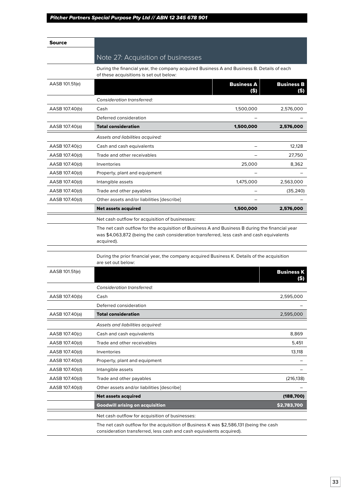| Source         |                                                                                                                                                                |                           |                           |
|----------------|----------------------------------------------------------------------------------------------------------------------------------------------------------------|---------------------------|---------------------------|
|                | Note 27: Acquisition of businesses                                                                                                                             |                           |                           |
|                | During the financial year, the company acquired Business A and Business B. Details of each<br>of these acquisitions is set out below:                          |                           |                           |
| AASB 101.51(e) |                                                                                                                                                                | <b>Business A</b><br>(\$) | <b>Business B</b><br>(\$) |
|                | Consideration transferred:                                                                                                                                     |                           |                           |
| AASB 107.40(b) | Cash                                                                                                                                                           | 1,500,000                 | 2,576,000                 |
|                | Deferred consideration                                                                                                                                         |                           |                           |
| AASB 107.40(a) | <b>Total consideration</b>                                                                                                                                     | 1,500,000                 | 2,576,000                 |
|                | Assets and liabilities acquired:                                                                                                                               |                           |                           |
| AASB 107.40(c) | Cash and cash equivalents                                                                                                                                      |                           | 12,128                    |
| AASB 107.40(d) | Trade and other receivables                                                                                                                                    |                           | 27,750                    |
| AASB 107.40(d) | Inventories                                                                                                                                                    | 25,000                    | 8,362                     |
| AASB 107.40(d) | Property, plant and equipment                                                                                                                                  |                           |                           |
| AASB 107.40(d) | Intangible assets                                                                                                                                              | 1,475,000                 | 2,563,000                 |
| AASB 107.40(d) | Trade and other payables                                                                                                                                       |                           | (35, 240)                 |
| AASB 107.40(d) | Other assets and/or liabilities [describe]                                                                                                                     |                           |                           |
|                | <b>Net assets acquired</b>                                                                                                                                     | 1,500,000                 | 2,576,000                 |
|                | Net cash outflow for acquisition of businesses:                                                                                                                |                           |                           |
|                | acquired).<br>During the prior financial year, the company acquired Business K. Details of the acquisition<br>are set out below:                               |                           |                           |
| AASB 101.51(e) |                                                                                                                                                                |                           | <b>Business K</b>         |
|                | Consideration transferred:                                                                                                                                     |                           |                           |
| AASB 107.40(b) | Cash                                                                                                                                                           |                           | 2,595,000                 |
|                | Deferred consideration                                                                                                                                         |                           |                           |
| AASB 107.40(a) | <b>Total consideration</b>                                                                                                                                     |                           | 2,595,000                 |
|                | Assets and liabilities acquired:                                                                                                                               |                           |                           |
| AASB 107.40(c) | Cash and cash equivalents                                                                                                                                      |                           | 8,869                     |
| AASB 107.40(d) | Trade and other receivables                                                                                                                                    |                           | 5,451                     |
| AASB 107.40(d) | Inventories                                                                                                                                                    |                           | 13,118                    |
| AASB 107.40(d) | Property, plant and equipment                                                                                                                                  |                           |                           |
| AASB 107.40(d) | Intangible assets                                                                                                                                              |                           |                           |
| AASB 107.40(d) | Trade and other payables                                                                                                                                       |                           | (216, 138)                |
| AASB 107.40(d) | Other assets and/or liabilities [describe]                                                                                                                     |                           |                           |
|                | <b>Net assets acquired</b>                                                                                                                                     |                           | (188,700)                 |
|                | <b>Goodwill arising on acquisition</b>                                                                                                                         |                           | \$2,783,700               |
|                | Net cash outflow for acquisition of businesses:                                                                                                                |                           |                           |
|                | The net cash outflow for the acquisition of Business K was \$2,586,131 (being the cash<br>consideration transferred, less cash and cash equivalents acquired). |                           |                           |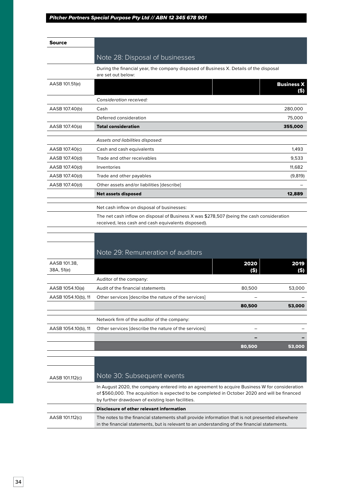| <b>Source</b>              |                                                                                                                                                                                                  |        |                          |
|----------------------------|--------------------------------------------------------------------------------------------------------------------------------------------------------------------------------------------------|--------|--------------------------|
|                            | Note 28: Disposal of businesses                                                                                                                                                                  |        |                          |
|                            | During the financial year, the company disposed of Business X. Details of the disposal                                                                                                           |        |                          |
|                            | are set out below:                                                                                                                                                                               |        |                          |
| AASB 101.51(e)             |                                                                                                                                                                                                  |        | <b>Business X</b><br>(S) |
|                            | Consideration received:                                                                                                                                                                          |        |                          |
| AASB 107.40(b)             | Cash                                                                                                                                                                                             |        | 280,000                  |
|                            | Deferred consideration                                                                                                                                                                           |        | 75,000                   |
| AASB 107.40(a)             | <b>Total consideration</b>                                                                                                                                                                       |        | 355,000                  |
|                            |                                                                                                                                                                                                  |        |                          |
|                            | Assets and liabilities disposed:                                                                                                                                                                 |        |                          |
| AASB 107.40(c)             | Cash and cash equivalents                                                                                                                                                                        |        | 1,493                    |
| AASB 107.40(d)             | Trade and other receivables                                                                                                                                                                      |        | 9,533                    |
| AASB 107.40(d)             | Inventories                                                                                                                                                                                      |        | 11,682                   |
| AASB 107.40(d)             | Trade and other payables                                                                                                                                                                         |        | (9,819)                  |
| AASB 107.40(d)             | Other assets and/or liabilities [describe]                                                                                                                                                       |        |                          |
|                            | <b>Net assets disposed</b>                                                                                                                                                                       |        | 12,889                   |
|                            | Net cash inflow on disposal of businesses:                                                                                                                                                       |        |                          |
|                            | The net cash inflow on disposal of Business X was \$278,507 (being the cash consideration                                                                                                        |        |                          |
|                            | received, less cash and cash equivalents disposed).                                                                                                                                              |        |                          |
|                            |                                                                                                                                                                                                  |        |                          |
|                            |                                                                                                                                                                                                  |        |                          |
|                            | Note 29: Remuneration of auditors                                                                                                                                                                |        |                          |
| AASB 101.38,<br>38A, 51(e) |                                                                                                                                                                                                  | 2020   | 2019                     |
|                            | Auditor of the company:                                                                                                                                                                          | (S)    | (S)                      |
| AASB 1054.10(a)            | Audit of the financial statements                                                                                                                                                                | 80,500 | 53,000                   |
| AASB 1054.10(b), 11        | Other services [describe the nature of the services]                                                                                                                                             |        |                          |
|                            |                                                                                                                                                                                                  | 80,500 | 53,000                   |
|                            |                                                                                                                                                                                                  |        |                          |
|                            | Network firm of the auditor of the company:                                                                                                                                                      |        |                          |
| AASB 1054.10(b), 11        | Other services [describe the nature of the services]                                                                                                                                             |        |                          |
|                            |                                                                                                                                                                                                  |        |                          |
|                            |                                                                                                                                                                                                  | 80,500 | 53,000                   |
|                            |                                                                                                                                                                                                  |        |                          |
|                            |                                                                                                                                                                                                  |        |                          |
| AASB 101.112(c)            | Note 30: Subsequent events                                                                                                                                                                       |        |                          |
|                            | In August 2020, the company entered into an agreement to acquire Business W for consideration                                                                                                    |        |                          |
|                            | of \$560,000. The acquisition is expected to be completed in October 2020 and will be financed                                                                                                   |        |                          |
|                            | by further drawdown of existing loan facilities.<br>Disclosure of other relevant information                                                                                                     |        |                          |
|                            |                                                                                                                                                                                                  |        |                          |
| AASB 101.112(c)            | The notes to the financial statements shall provide information that is not presented elsewhere<br>in the financial statements, but is relevant to an understanding of the financial statements. |        |                          |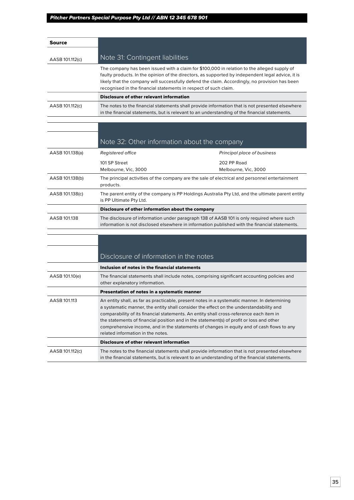| Source          |                                                                  |                                                                                                                                                                                                                                                                                                    |
|-----------------|------------------------------------------------------------------|----------------------------------------------------------------------------------------------------------------------------------------------------------------------------------------------------------------------------------------------------------------------------------------------------|
| AASB 101.112(c) | Note 31: Contingent liabilities                                  |                                                                                                                                                                                                                                                                                                    |
|                 | recognised in the financial statements in respect of such claim. | The company has been issued with a claim for \$100,000 in relation to the alleged supply of<br>faulty products. In the opinion of the directors, as supported by independent legal advice, it is<br>likely that the company will successfully defend the claim. Accordingly, no provision has been |
|                 | <b>Disclosure of other relevant information</b>                  |                                                                                                                                                                                                                                                                                                    |
| AASB 101.112(c) |                                                                  | The notes to the financial statements shall provide information that is not presented elsewhere<br>in the financial statements, but is relevant to an understanding of the financial statements.                                                                                                   |
|                 |                                                                  |                                                                                                                                                                                                                                                                                                    |
|                 | Note 32: Other information about the company                     |                                                                                                                                                                                                                                                                                                    |
| AASB 101.138(a) | <b>Registered office</b>                                         | Principal place of business                                                                                                                                                                                                                                                                        |
|                 | 101 SP Street<br>Melbourne, Vic, 3000                            | 202 PP Road<br>Melbourne, Vic, 3000                                                                                                                                                                                                                                                                |
| AASB 101.138(b) | products.                                                        | The principal activities of the company are the sale of electrical and personnel entertainment                                                                                                                                                                                                     |
| AASB 101.138(c) | is PP Ultimate Pty Ltd.                                          | The parent entity of the company is PP Holdings Australia Pty Ltd, and the ultimate parent entity                                                                                                                                                                                                  |
|                 | Disclosure of other information about the company                |                                                                                                                                                                                                                                                                                                    |
| AASB 101.138    |                                                                  | The disclosure of information under paragraph 138 of AASB 101 is only required where such<br>information is not disclosed elsewhere in information published with the financial statements.                                                                                                        |
|                 |                                                                  |                                                                                                                                                                                                                                                                                                    |
|                 |                                                                  |                                                                                                                                                                                                                                                                                                    |
|                 | Disclosure of information in the notes                           |                                                                                                                                                                                                                                                                                                    |

|                 | Inclusion of notes in the financial statements                                                                                                                                                                                                                                                                                                                                                                                                                                                                  |
|-----------------|-----------------------------------------------------------------------------------------------------------------------------------------------------------------------------------------------------------------------------------------------------------------------------------------------------------------------------------------------------------------------------------------------------------------------------------------------------------------------------------------------------------------|
| AASB 101.10(e)  | The financial statements shall include notes, comprising significant accounting policies and<br>other explanatory information.                                                                                                                                                                                                                                                                                                                                                                                  |
|                 | Presentation of notes in a systematic manner                                                                                                                                                                                                                                                                                                                                                                                                                                                                    |
| AASB 101.113    | An entity shall, as far as practicable, present notes in a systematic manner. In determining<br>a systematic manner, the entity shall consider the effect on the understandability and<br>comparability of its financial statements. An entity shall cross-reference each item in<br>the statements of financial position and in the statement(s) of profit or loss and other<br>comprehensive income, and in the statements of changes in equity and of cash flows to any<br>related information in the notes. |
|                 | Disclosure of other relevant information                                                                                                                                                                                                                                                                                                                                                                                                                                                                        |
| AASB 101.112(c) | The notes to the financial statements shall provide information that is not presented elsewhere<br>in the financial statements, but is relevant to an understanding of the financial statements.                                                                                                                                                                                                                                                                                                                |